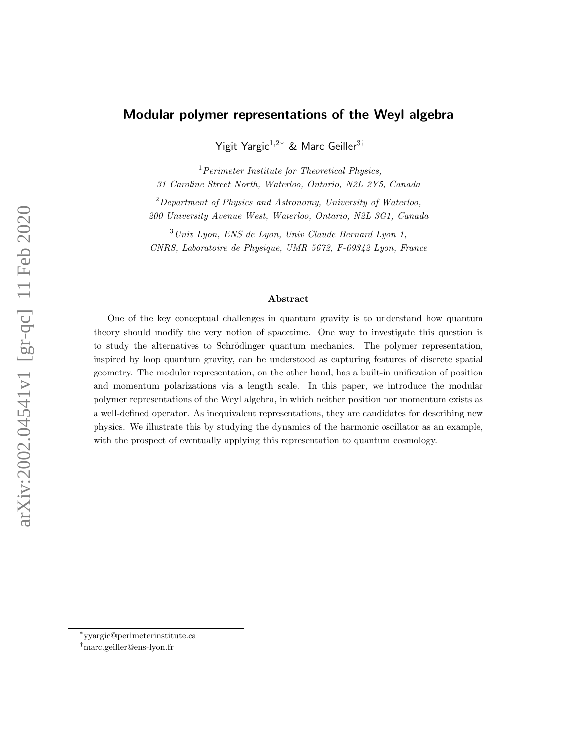# Modular polymer representations of the Weyl algebra

Yigit Yargic<sup>1,2∗</sup> & Marc Geiller<sup>3†</sup>

 $<sup>1</sup> Perimeter Institute for Theoretical Physics,$ </sup> 31 Caroline Street North, Waterloo, Ontario, N2L 2Y5, Canada

 $2$ Department of Physics and Astronomy, University of Waterloo, 200 University Avenue West, Waterloo, Ontario, N2L 3G1, Canada

 $3$ Univ Lyon, ENS de Lyon, Univ Claude Bernard Lyon 1, CNRS, Laboratoire de Physique, UMR 5672, F-69342 Lyon, France

#### Abstract

One of the key conceptual challenges in quantum gravity is to understand how quantum theory should modify the very notion of spacetime. One way to investigate this question is to study the alternatives to Schrödinger quantum mechanics. The polymer representation, inspired by loop quantum gravity, can be understood as capturing features of discrete spatial geometry. The modular representation, on the other hand, has a built-in unification of position and momentum polarizations via a length scale. In this paper, we introduce the modular polymer representations of the Weyl algebra, in which neither position nor momentum exists as a well-defined operator. As inequivalent representations, they are candidates for describing new physics. We illustrate this by studying the dynamics of the harmonic oscillator as an example, with the prospect of eventually applying this representation to quantum cosmology.

<sup>∗</sup> yyargic@perimeterinstitute.ca

<sup>†</sup>marc.geiller@ens-lyon.fr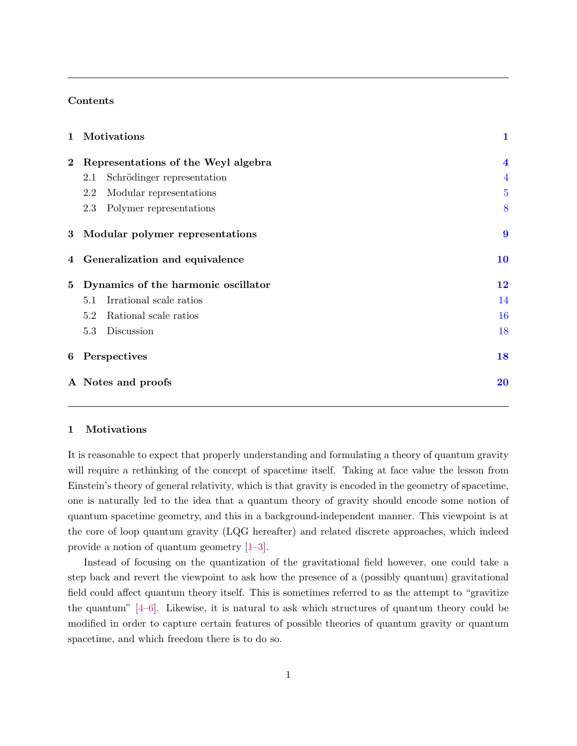## Contents

| $\mathbf{1}$ | Motivations                         | $\mathbf{1}$            |
|--------------|-------------------------------------|-------------------------|
| $\bf{2}$     | Representations of the Weyl algebra | $\overline{\mathbf{4}}$ |
|              | Schrödinger representation<br>2.1   | $\overline{4}$          |
|              | 2.2<br>Modular representations      | $\overline{5}$          |
|              | 2.3<br>Polymer representations      | 8                       |
| $\bf{3}$     | Modular polymer representations     | 9                       |
| 4            | Generalization and equivalence      | 10                      |
| 5            | Dynamics of the harmonic oscillator | 12                      |
|              | Irrational scale ratios<br>5.1      | 14                      |
|              | Rational scale ratios<br>5.2        | 16                      |
|              | 5.3<br>Discussion                   | 18                      |
| 6            | Perspectives                        | 18                      |
|              | A Notes and proofs                  | <b>20</b>               |

# <span id="page-1-0"></span>1 Motivations

It is reasonable to expect that properly understanding and formulating a theory of quantum gravity will require a rethinking of the concept of spacetime itself. Taking at face value the lesson from Einstein's theory of general relativity, which is that gravity is encoded in the geometry of spacetime, one is naturally led to the idea that a quantum theory of gravity should encode some notion of quantum spacetime geometry, and this in a background-independent manner. This viewpoint is at the core of loop quantum gravity (LQG hereafter) and related discrete approaches, which indeed provide a notion of quantum geometry [\[1–](#page-30-0)[3\]](#page-30-1).

Instead of focusing on the quantization of the gravitational field however, one could take a step back and revert the viewpoint to ask how the presence of a (possibly quantum) gravitational field could affect quantum theory itself. This is sometimes referred to as the attempt to "gravitize the quantum" [\[4–](#page-30-2)[6\]](#page-30-3). Likewise, it is natural to ask which structures of quantum theory could be modified in order to capture certain features of possible theories of quantum gravity or quantum spacetime, and which freedom there is to do so.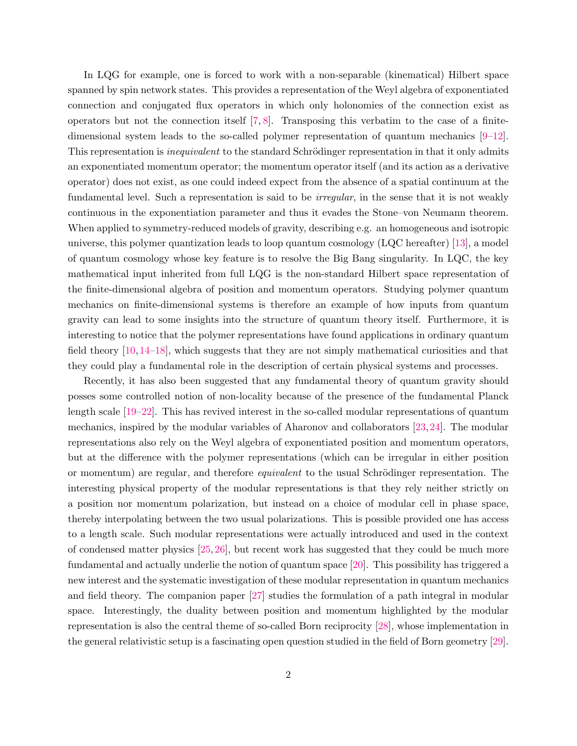In LQG for example, one is forced to work with a non-separable (kinematical) Hilbert space spanned by spin network states. This provides a representation of the Weyl algebra of exponentiated connection and conjugated flux operators in which only holonomies of the connection exist as operators but not the connection itself  $[7, 8]$  $[7, 8]$  $[7, 8]$ . Transposing this verbatim to the case of a finitedimensional system leads to the so-called polymer representation of quantum mechanics [\[9–](#page-30-6)[12\]](#page-30-7). This representation is *inequivalent* to the standard Schrödinger representation in that it only admits an exponentiated momentum operator; the momentum operator itself (and its action as a derivative operator) does not exist, as one could indeed expect from the absence of a spatial continuum at the fundamental level. Such a representation is said to be *irregular*, in the sense that it is not weakly continuous in the exponentiation parameter and thus it evades the Stone–von Neumann theorem. When applied to symmetry-reduced models of gravity, describing e.g. an homogeneous and isotropic universe, this polymer quantization leads to loop quantum cosmology (LQC hereafter) [\[13\]](#page-30-8), a model of quantum cosmology whose key feature is to resolve the Big Bang singularity. In LQC, the key mathematical input inherited from full LQG is the non-standard Hilbert space representation of the finite-dimensional algebra of position and momentum operators. Studying polymer quantum mechanics on finite-dimensional systems is therefore an example of how inputs from quantum gravity can lead to some insights into the structure of quantum theory itself. Furthermore, it is interesting to notice that the polymer representations have found applications in ordinary quantum field theory [\[10,](#page-30-9) [14–](#page-30-10)[18\]](#page-31-0), which suggests that they are not simply mathematical curiosities and that they could play a fundamental role in the description of certain physical systems and processes.

Recently, it has also been suggested that any fundamental theory of quantum gravity should posses some controlled notion of non-locality because of the presence of the fundamental Planck length scale [\[19–](#page-31-1)[22\]](#page-31-2). This has revived interest in the so-called modular representations of quantum mechanics, inspired by the modular variables of Aharonov and collaborators [\[23,](#page-31-3)[24\]](#page-31-4). The modular representations also rely on the Weyl algebra of exponentiated position and momentum operators, but at the difference with the polymer representations (which can be irregular in either position or momentum) are regular, and therefore *equivalent* to the usual Schrödinger representation. The interesting physical property of the modular representations is that they rely neither strictly on a position nor momentum polarization, but instead on a choice of modular cell in phase space, thereby interpolating between the two usual polarizations. This is possible provided one has access to a length scale. Such modular representations were actually introduced and used in the context of condensed matter physics [\[25,](#page-31-5)[26\]](#page-31-6), but recent work has suggested that they could be much more fundamental and actually underlie the notion of quantum space [\[20\]](#page-31-7). This possibility has triggered a new interest and the systematic investigation of these modular representation in quantum mechanics and field theory. The companion paper [\[27\]](#page-31-8) studies the formulation of a path integral in modular space. Interestingly, the duality between position and momentum highlighted by the modular representation is also the central theme of so-called Born reciprocity [\[28\]](#page-31-9), whose implementation in the general relativistic setup is a fascinating open question studied in the field of Born geometry [\[29\]](#page-31-10).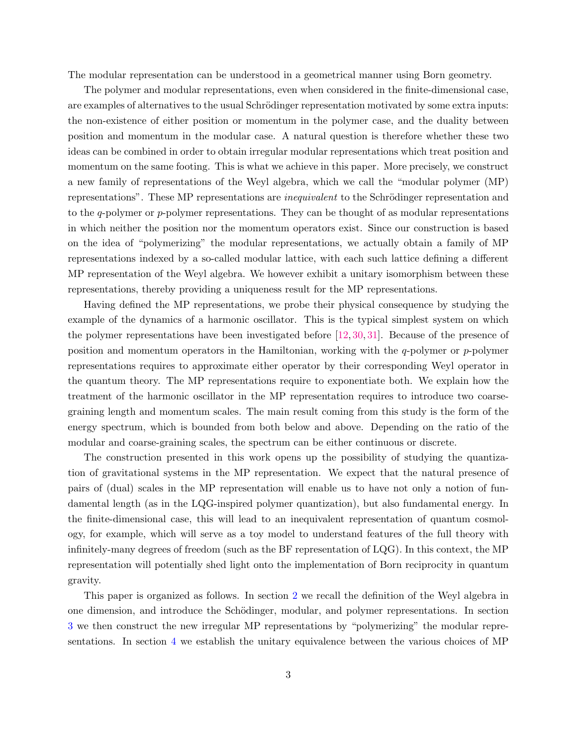The modular representation can be understood in a geometrical manner using Born geometry.

The polymer and modular representations, even when considered in the finite-dimensional case, are examples of alternatives to the usual Schrödinger representation motivated by some extra inputs: the non-existence of either position or momentum in the polymer case, and the duality between position and momentum in the modular case. A natural question is therefore whether these two ideas can be combined in order to obtain irregular modular representations which treat position and momentum on the same footing. This is what we achieve in this paper. More precisely, we construct a new family of representations of the Weyl algebra, which we call the "modular polymer (MP) representations". These MP representations are *inequivalent* to the Schrödinger representation and to the  $q$ -polymer or  $p$ -polymer representations. They can be thought of as modular representations in which neither the position nor the momentum operators exist. Since our construction is based on the idea of "polymerizing" the modular representations, we actually obtain a family of MP representations indexed by a so-called modular lattice, with each such lattice defining a different MP representation of the Weyl algebra. We however exhibit a unitary isomorphism between these representations, thereby providing a uniqueness result for the MP representations.

Having defined the MP representations, we probe their physical consequence by studying the example of the dynamics of a harmonic oscillator. This is the typical simplest system on which the polymer representations have been investigated before [\[12,](#page-30-7) [30,](#page-32-0) [31\]](#page-32-1). Because of the presence of position and momentum operators in the Hamiltonian, working with the  $q$ -polymer or  $p$ -polymer representations requires to approximate either operator by their corresponding Weyl operator in the quantum theory. The MP representations require to exponentiate both. We explain how the treatment of the harmonic oscillator in the MP representation requires to introduce two coarsegraining length and momentum scales. The main result coming from this study is the form of the energy spectrum, which is bounded from both below and above. Depending on the ratio of the modular and coarse-graining scales, the spectrum can be either continuous or discrete.

The construction presented in this work opens up the possibility of studying the quantization of gravitational systems in the MP representation. We expect that the natural presence of pairs of (dual) scales in the MP representation will enable us to have not only a notion of fundamental length (as in the LQG-inspired polymer quantization), but also fundamental energy. In the finite-dimensional case, this will lead to an inequivalent representation of quantum cosmology, for example, which will serve as a toy model to understand features of the full theory with infinitely-many degrees of freedom (such as the BF representation of LQG). In this context, the MP representation will potentially shed light onto the implementation of Born reciprocity in quantum gravity.

This paper is organized as follows. In section [2](#page-4-0) we recall the definition of the Weyl algebra in one dimension, and introduce the Schödinger, modular, and polymer representations. In section [3](#page-9-0) we then construct the new irregular MP representations by "polymerizing" the modular representations. In section [4](#page-10-0) we establish the unitary equivalence between the various choices of MP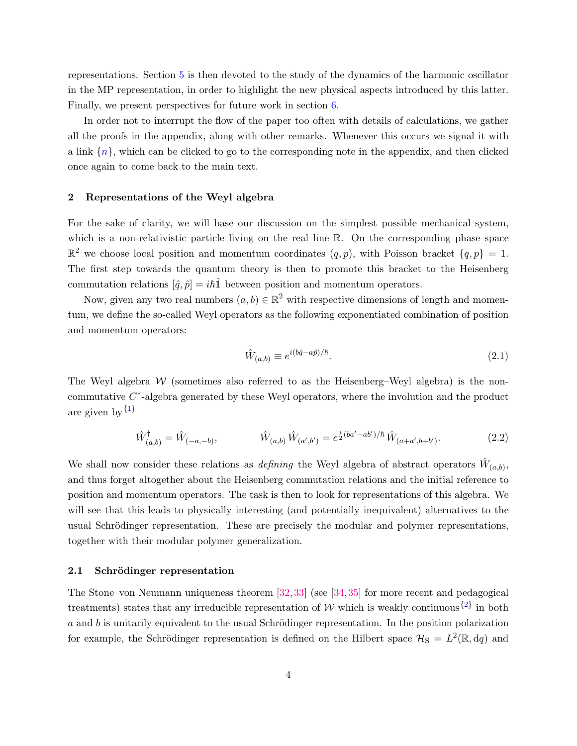representations. Section [5](#page-12-0) is then devoted to the study of the dynamics of the harmonic oscillator in the MP representation, in order to highlight the new physical aspects introduced by this latter. Finally, we present perspectives for future work in section [6.](#page-18-0)

In order not to interrupt the flow of the paper too often with details of calculations, we gather all the proofs in the appendix, along with other remarks. Whenever this occurs we signal it with a link  $\{n\}$ , which can be clicked to go to the corresponding note in the appendix, and then clicked once again to come back to the main text.

# <span id="page-4-0"></span>2 Representations of the Weyl algebra

For the sake of clarity, we will base our discussion on the simplest possible mechanical system, which is a non-relativistic particle living on the real line R. On the corresponding phase space  $\mathbb{R}^2$  we choose local position and momentum coordinates  $(q, p)$ , with Poisson bracket  $\{q, p\} = 1$ . The first step towards the quantum theory is then to promote this bracket to the Heisenberg commutation relations  $[\hat{q}, \hat{p}] = i\hbar \hat{\mathbb{1}}$  between position and momentum operators.

Now, given any two real numbers  $(a, b) \in \mathbb{R}^2$  with respective dimensions of length and momentum, we define the so-called Weyl operators as the following exponentiated combination of position and momentum operators:

<span id="page-4-4"></span><span id="page-4-3"></span>
$$
\hat{W}_{(a,b)} \equiv e^{i(b\hat{q} - a\hat{p})/\hbar}.\tag{2.1}
$$

The Weyl algebra  $W$  (sometimes also referred to as the Heisenberg–Weyl algebra) is the noncommutative  $C^*$ -algebra generated by these Weyl operators, where the involution and the product are given by  $\{1\}$  $\{1\}$  $\{1\}$ 

<span id="page-4-2"></span>
$$
\hat{W}_{(a,b)}^{\dagger} = \hat{W}_{(-a,-b)}, \qquad \hat{W}_{(a,b)}\,\hat{W}_{(a',b')} = e^{\frac{i}{2}(ba'-ab')/\hbar}\,\hat{W}_{(a+a',b+b')}.\tag{2.2}
$$

We shall now consider these relations as *defining* the Weyl algebra of abstract operators  $\hat{W}_{(a,b)}$ , and thus forget altogether about the Heisenberg commutation relations and the initial reference to position and momentum operators. The task is then to look for representations of this algebra. We will see that this leads to physically interesting (and potentially inequivalent) alternatives to the usual Schrödinger representation. These are precisely the modular and polymer representations, together with their modular polymer generalization.

#### <span id="page-4-1"></span>2.1 Schrödinger representation

The Stone–von Neumann uniqueness theorem [\[32,](#page-32-2) [33\]](#page-32-3) (see [\[34,](#page-32-4) [35\]](#page-32-5) for more recent and pedagogical treatments) states that any irreducible representation of W which is weakly continuous<sup>{[2](#page-20-2)}</sup> in both  $a$  and  $b$  is unitarily equivalent to the usual Schrödinger representation. In the position polarization for example, the Schrödinger representation is defined on the Hilbert space  $\mathcal{H}_{S} = L^{2}(\mathbb{R},dq)$  and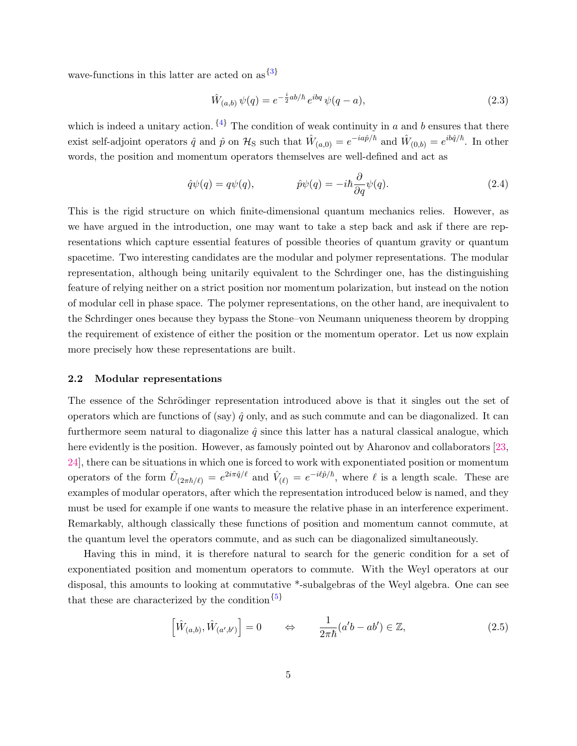wave-functions in this latter are acted on as  $\{3\}$  $\{3\}$  $\{3\}$ 

<span id="page-5-2"></span><span id="page-5-1"></span>
$$
\hat{W}_{(a,b)}\,\psi(q) = e^{-\frac{i}{2}ab/\hbar}\,e^{ibq}\,\psi(q-a),\tag{2.3}
$$

which is indeed a unitary action.  $\{4\}$  $\{4\}$  $\{4\}$  The condition of weak continuity in a and b ensures that there exist self-adjoint operators  $\hat{q}$  and  $\hat{p}$  on  $\mathcal{H}_{\rm S}$  such that  $\hat{W}_{(a,0)} = e^{-ia\hat{p}/\hbar}$  and  $\hat{W}_{(0,b)} = e^{ib\hat{q}/\hbar}$ . In other words, the position and momentum operators themselves are well-defined and act as

$$
\hat{q}\psi(q) = q\psi(q), \qquad \hat{p}\psi(q) = -i\hbar \frac{\partial}{\partial q}\psi(q). \qquad (2.4)
$$

This is the rigid structure on which finite-dimensional quantum mechanics relies. However, as we have argued in the introduction, one may want to take a step back and ask if there are representations which capture essential features of possible theories of quantum gravity or quantum spacetime. Two interesting candidates are the modular and polymer representations. The modular representation, although being unitarily equivalent to the Schrdinger one, has the distinguishing feature of relying neither on a strict position nor momentum polarization, but instead on the notion of modular cell in phase space. The polymer representations, on the other hand, are inequivalent to the Schrdinger ones because they bypass the Stone–von Neumann uniqueness theorem by dropping the requirement of existence of either the position or the momentum operator. Let us now explain more precisely how these representations are built.

#### <span id="page-5-0"></span>2.2 Modular representations

The essence of the Schrödinger representation introduced above is that it singles out the set of operators which are functions of (say)  $\hat{q}$  only, and as such commute and can be diagonalized. It can furthermore seem natural to diagonalize  $\hat{q}$  since this latter has a natural classical analogue, which here evidently is the position. However, as famously pointed out by Aharonov and collaborators [\[23,](#page-31-3) [24\]](#page-31-4), there can be situations in which one is forced to work with exponentiated position or momentum operators of the form  $\hat{U}_{(2\pi\hbar/\ell)} = e^{2i\pi\hat{q}/\ell}$  and  $\hat{V}_{(\ell)} = e^{-i\ell\hat{p}/\hbar}$ , where  $\ell$  is a length scale. These are examples of modular operators, after which the representation introduced below is named, and they must be used for example if one wants to measure the relative phase in an interference experiment. Remarkably, although classically these functions of position and momentum cannot commute, at the quantum level the operators commute, and as such can be diagonalized simultaneously.

Having this in mind, it is therefore natural to search for the generic condition for a set of exponentiated position and momentum operators to commute. With the Weyl operators at our disposal, this amounts to looking at commutative \*-subalgebras of the Weyl algebra. One can see that these are characterized by the condition  $\{5\}$  $\{5\}$  $\{5\}$ 

<span id="page-5-3"></span>
$$
\left[\hat{W}_{(a,b)}, \hat{W}_{(a',b')}\right] = 0 \qquad \Leftrightarrow \qquad \frac{1}{2\pi\hbar}(a'b - ab') \in \mathbb{Z},\tag{2.5}
$$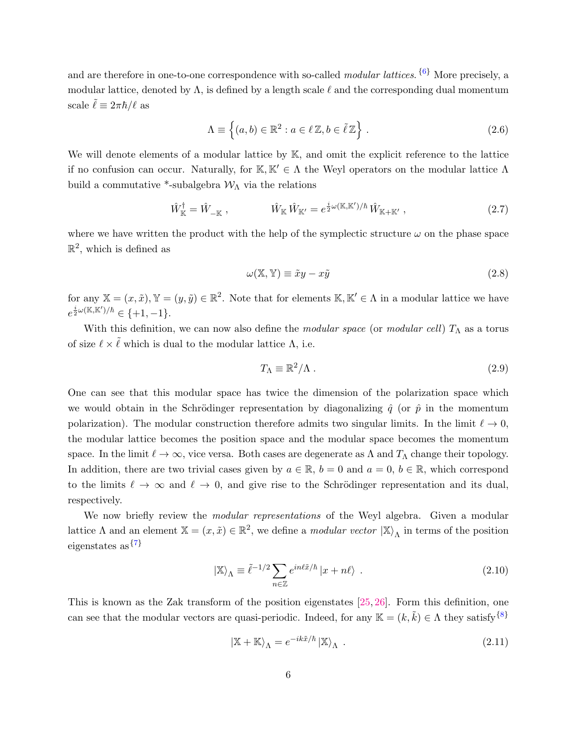and are therefore in one-to-one correspondence with so-called *modular lattices*. <sup>{[6](#page-21-3)}</sup> More precisely, a modular lattice, denoted by  $\Lambda$ , is defined by a length scale  $\ell$  and the corresponding dual momentum scale  $\ell \equiv 2\pi\hbar/\ell$  as

<span id="page-6-3"></span><span id="page-6-0"></span>
$$
\Lambda \equiv \left\{ (a, b) \in \mathbb{R}^2 : a \in \ell \mathbb{Z}, b \in \tilde{\ell} \mathbb{Z} \right\}.
$$
 (2.6)

We will denote elements of a modular lattice by  $K$ , and omit the explicit reference to the lattice if no confusion can occur. Naturally, for  $\mathbb{K}, \mathbb{K}' \in \Lambda$  the Weyl operators on the modular lattice  $\Lambda$ build a commutative \*-subalgebra  $\mathcal{W}_{\Lambda}$  via the relations

$$
\hat{W}_{\mathbb{K}}^{\dagger} = \hat{W}_{-\mathbb{K}} \,, \qquad \qquad \hat{W}_{\mathbb{K}} \hat{W}_{\mathbb{K}'} = e^{\frac{i}{2}\omega(\mathbb{K}, \mathbb{K}')/\hbar} \hat{W}_{\mathbb{K} + \mathbb{K}'} \,, \tag{2.7}
$$

where we have written the product with the help of the symplectic structure  $\omega$  on the phase space  $\mathbb{R}^2$ , which is defined as

<span id="page-6-2"></span>
$$
\omega(\mathbb{X}, \mathbb{Y}) \equiv \tilde{x}y - x\tilde{y} \tag{2.8}
$$

for any  $\mathbb{X} = (x, \tilde{x}), \mathbb{Y} = (y, \tilde{y}) \in \mathbb{R}^2$ . Note that for elements  $\mathbb{K}, \mathbb{K}' \in \Lambda$  in a modular lattice we have  $e^{\frac{i}{2}\omega(\mathbb{K}, \mathbb{K}')/\hbar} \in \{+1, -1\}.$ 

With this definition, we can now also define the modular space (or modular cell)  $T_{\Lambda}$  as a torus of size  $\ell \times \tilde{\ell}$  which is dual to the modular lattice  $\Lambda$ , i.e.

$$
T_{\Lambda} \equiv \mathbb{R}^2/\Lambda \tag{2.9}
$$

One can see that this modular space has twice the dimension of the polarization space which we would obtain in the Schrödinger representation by diagonalizing  $\hat{q}$  (or  $\hat{p}$  in the momentum polarization). The modular construction therefore admits two singular limits. In the limit  $\ell \to 0$ , the modular lattice becomes the position space and the modular space becomes the momentum space. In the limit  $\ell \to \infty$ , vice versa. Both cases are degenerate as  $\Lambda$  and  $T_{\Lambda}$  change their topology. In addition, there are two trivial cases given by  $a \in \mathbb{R}$ ,  $b = 0$  and  $a = 0$ ,  $b \in \mathbb{R}$ , which correspond to the limits  $\ell \to \infty$  and  $\ell \to 0$ , and give rise to the Schrödinger representation and its dual, respectively.

We now briefly review the *modular representations* of the Weyl algebra. Given a modular lattice  $\Lambda$  and an element  $\mathbb{X} = (x, \tilde{x}) \in \mathbb{R}^2$ , we define a *modular vector*  $|\mathbb{X}\rangle_{\Lambda}$  in terms of the position eigenstates as  $\{7\}$  $\{7\}$  $\{7\}$ 

<span id="page-6-4"></span>
$$
|\mathbb{X}\rangle_{\Lambda} \equiv \tilde{\ell}^{-1/2} \sum_{n \in \mathbb{Z}} e^{in\ell \tilde{x}/\hbar} |x + n\ell\rangle \tag{2.10}
$$

This is known as the Zak transform of the position eigenstates [\[25,](#page-31-5) [26\]](#page-31-6). Form this definition, one can see that the modular vectors are quasi-periodic. Indeed, for any  $\mathbb{K} = (k, \tilde{k}) \in \Lambda$  they satisfy  $\{8\}$  $\{8\}$  $\{8\}$ 

<span id="page-6-5"></span><span id="page-6-1"></span>
$$
|\mathbb{X} + \mathbb{K}\rangle_{\Lambda} = e^{-ik\tilde{x}/\hbar} |\mathbb{X}\rangle_{\Lambda} . \qquad (2.11)
$$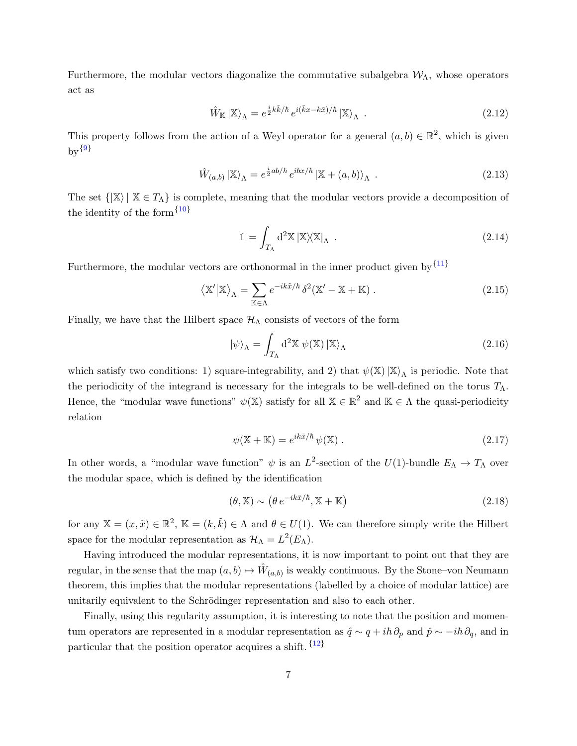Furthermore, the modular vectors diagonalize the commutative subalgebra  $W_{\Lambda}$ , whose operators act as

$$
\hat{W}_{\mathbb{K}} \left| \mathbb{X} \right\rangle_{\Lambda} = e^{\frac{i}{2}k\tilde{k}/\hbar} e^{i(\tilde{k}x - k\tilde{x})/\hbar} \left| \mathbb{X} \right\rangle_{\Lambda} \tag{2.12}
$$

<span id="page-7-3"></span>This property follows from the action of a Weyl operator for a general  $(a, b) \in \mathbb{R}^2$ , which is given  $_{\rm by}$ {[9](#page-22-1)}

<span id="page-7-4"></span>
$$
\hat{W}_{(a,b)} \left| \mathbb{X} \right\rangle_{\Lambda} = e^{\frac{i}{2}ab/\hbar} e^{ibx/\hbar} \left| \mathbb{X} + (a,b) \right\rangle_{\Lambda} . \tag{2.13}
$$

The set  $\{|\mathbb{X}\rangle \mid \mathbb{X} \in T_\Lambda\}$  is complete, meaning that the modular vectors provide a decomposition of the identity of the form  $\{10\}$  $\{10\}$  $\{10\}$ 

<span id="page-7-5"></span><span id="page-7-2"></span>
$$
\mathbb{1} = \int_{T_{\Lambda}} d^2 \mathbb{X} \left| \mathbb{X} \right\rangle \!\!\left\langle \mathbb{X} \right|_{\Lambda} . \tag{2.14}
$$

Furthermore, the modular vectors are orthonormal in the inner product given by  $\{11\}$  $\{11\}$  $\{11\}$ 

$$
\langle \mathbb{X}' | \mathbb{X} \rangle_{\Lambda} = \sum_{\mathbb{K} \in \Lambda} e^{-ik\tilde{x}/\hbar} \, \delta^2(\mathbb{X}' - \mathbb{X} + \mathbb{K}) \,. \tag{2.15}
$$

Finally, we have that the Hilbert space  $\mathcal{H}_{\Lambda}$  consists of vectors of the form

$$
|\psi\rangle_{\Lambda} = \int_{T_{\Lambda}} d^2 \mathbb{X} \psi(\mathbb{X}) |\mathbb{X}\rangle_{\Lambda}
$$
 (2.16)

which satisfy two conditions: 1) square-integrability, and 2) that  $\psi(\mathbb{X})|\mathbb{X}\rangle_{\Lambda}$  is periodic. Note that the periodicity of the integrand is necessary for the integrals to be well-defined on the torus  $T_{\Lambda}$ . Hence, the "modular wave functions"  $\psi(\mathbb{X})$  satisfy for all  $\mathbb{X} \in \mathbb{R}^2$  and  $\mathbb{K} \in \Lambda$  the quasi-periodicity relation

$$
\psi(\mathbb{X} + \mathbb{K}) = e^{ik\tilde{x}/\hbar} \psi(\mathbb{X}).
$$
\n(2.17)

In other words, a "modular wave function"  $\psi$  is an  $L^2$ -section of the  $U(1)$ -bundle  $E_{\Lambda} \to T_{\Lambda}$  over the modular space, which is defined by the identification

<span id="page-7-6"></span><span id="page-7-1"></span>
$$
(\theta, \mathbb{X}) \sim (\theta \, e^{-ik\tilde{x}/\hbar}, \mathbb{X} + \mathbb{K}) \tag{2.18}
$$

for any  $\mathbb{X} = (x, \tilde{x}) \in \mathbb{R}^2$ ,  $\mathbb{K} = (k, \tilde{k}) \in \Lambda$  and  $\theta \in U(1)$ . We can therefore simply write the Hilbert space for the modular representation as  $\mathcal{H}_{\Lambda} = L^2(E_{\Lambda}).$ 

Having introduced the modular representations, it is now important to point out that they are regular, in the sense that the map  $(a, b) \mapsto \hat{W}_{(a,b)}$  is weakly continuous. By the Stone–von Neumann theorem, this implies that the modular representations (labelled by a choice of modular lattice) are unitarily equivalent to the Schrödinger representation and also to each other.

<span id="page-7-0"></span>Finally, using this regularity assumption, it is interesting to note that the position and momentum operators are represented in a modular representation as  $\hat{q} \sim q + i\hbar \partial_p$  and  $\hat{p} \sim -i\hbar \partial_q$ , and in particular that the position operator acquires a shift.  $\{12\}$  $\{12\}$  $\{12\}$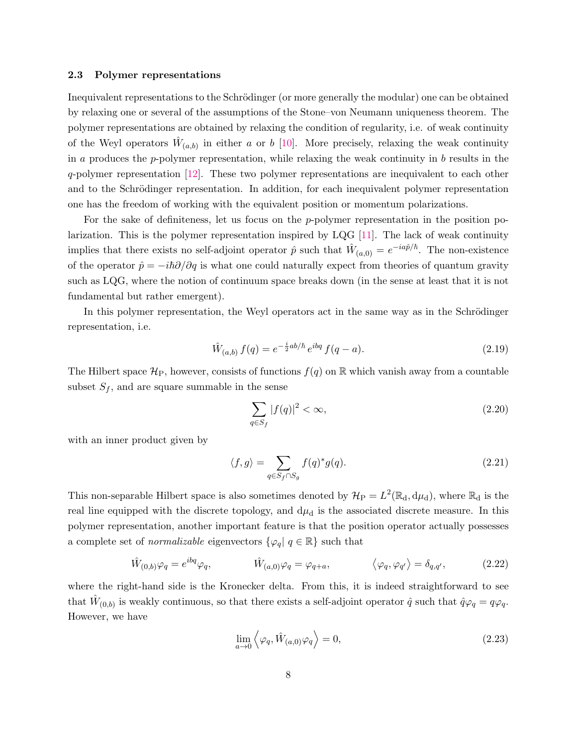#### 2.3 Polymer representations

Inequivalent representations to the Schrödinger (or more generally the modular) one can be obtained by relaxing one or several of the assumptions of the Stone–von Neumann uniqueness theorem. The polymer representations are obtained by relaxing the condition of regularity, i.e. of weak continuity of the Weyl operators  $\hat{W}_{(a,b)}$  in either a or b [\[10\]](#page-30-9). More precisely, relaxing the weak continuity in a produces the p-polymer representation, while relaxing the weak continuity in  $b$  results in the q-polymer representation [\[12\]](#page-30-7). These two polymer representations are inequivalent to each other and to the Schrödinger representation. In addition, for each inequivalent polymer representation one has the freedom of working with the equivalent position or momentum polarizations.

For the sake of definiteness, let us focus on the p-polymer representation in the position polarization. This is the polymer representation inspired by LQG  $[11]$ . The lack of weak continuity implies that there exists no self-adjoint operator  $\hat{p}$  such that  $\hat{W}_{(a,0)} = e^{-ia\hat{p}/\hbar}$ . The non-existence of the operator  $\hat{p} = -i\hbar\partial/\partial q$  is what one could naturally expect from theories of quantum gravity such as LQG, where the notion of continuum space breaks down (in the sense at least that it is not fundamental but rather emergent).

In this polymer representation, the Weyl operators act in the same way as in the Schrödinger representation, i.e.

$$
\hat{W}_{(a,b)} f(q) = e^{-\frac{i}{2}ab/\hbar} e^{ibq} f(q-a).
$$
\n(2.19)

The Hilbert space  $\mathcal{H}_{P}$ , however, consists of functions  $f(q)$  on R which vanish away from a countable subset  $S_f$ , and are square summable in the sense

$$
\sum_{q \in S_f} |f(q)|^2 < \infty,\tag{2.20}
$$

with an inner product given by

$$
\langle f, g \rangle = \sum_{q \in S_f \cap S_g} f(q)^* g(q). \tag{2.21}
$$

This non-separable Hilbert space is also sometimes denoted by  $\mathcal{H}_{P} = L^{2}(\mathbb{R}_{d}, d\mu_{d})$ , where  $\mathbb{R}_{d}$  is the real line equipped with the discrete topology, and  $d\mu_d$  is the associated discrete measure. In this polymer representation, another important feature is that the position operator actually possesses a complete set of *normalizable* eigenvectors  $\{\varphi_q | q \in \mathbb{R}\}$  such that

$$
\hat{W}_{(0,b)}\varphi_q = e^{ibq}\varphi_q, \qquad \hat{W}_{(a,0)}\varphi_q = \varphi_{q+a}, \qquad \langle \varphi_q, \varphi_{q'} \rangle = \delta_{q,q'}, \qquad (2.22)
$$

where the right-hand side is the Kronecker delta. From this, it is indeed straightforward to see that  $\hat{W}_{(0,b)}$  is weakly continuous, so that there exists a self-adjoint operator  $\hat{q}$  such that  $\hat{q}\varphi_q = q\varphi_q$ . However, we have

$$
\lim_{a \to 0} \left\langle \varphi_q, \hat{W}_{(a,0)} \varphi_q \right\rangle = 0, \tag{2.23}
$$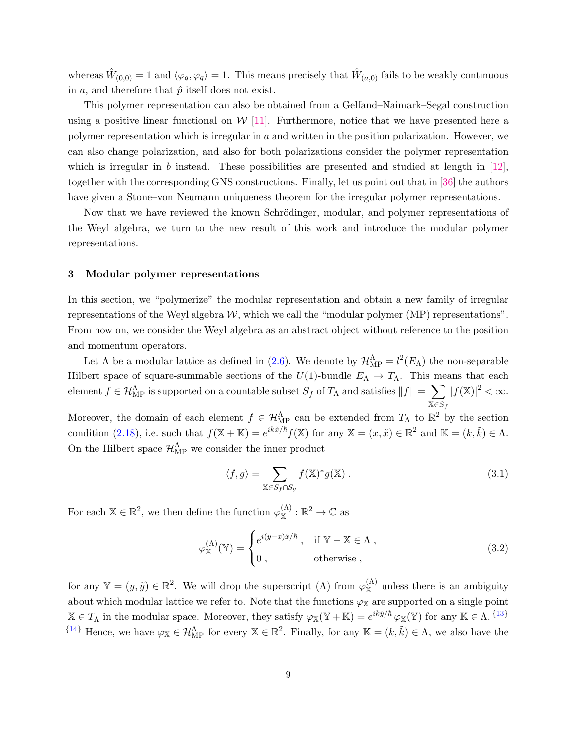whereas  $\hat{W}_{(0,0)} = 1$  and  $\langle \varphi_q, \varphi_q \rangle = 1$ . This means precisely that  $\hat{W}_{(a,0)}$  fails to be weakly continuous in a, and therefore that  $\hat{p}$  itself does not exist.

This polymer representation can also be obtained from a Gelfand–Naimark–Segal construction using a positive linear functional on  $W$  [\[11\]](#page-30-11). Furthermore, notice that we have presented here a polymer representation which is irregular in  $a$  and written in the position polarization. However, we can also change polarization, and also for both polarizations consider the polymer representation which is irregular in b instead. These possibilities are presented and studied at length in  $[12]$ , together with the corresponding GNS constructions. Finally, let us point out that in [\[36\]](#page-32-6) the authors have given a Stone–von Neumann uniqueness theorem for the irregular polymer representations.

Now that we have reviewed the known Schrödinger, modular, and polymer representations of the Weyl algebra, we turn to the new result of this work and introduce the modular polymer representations.

# <span id="page-9-0"></span>3 Modular polymer representations

In this section, we "polymerize" the modular representation and obtain a new family of irregular representations of the Weyl algebra  $W$ , which we call the "modular polymer (MP) representations". From now on, we consider the Weyl algebra as an abstract object without reference to the position and momentum operators.

Let  $\Lambda$  be a modular lattice as defined in [\(2.6\)](#page-6-0). We denote by  $\mathcal{H}_{MP}^{\Lambda} = l^2(E_{\Lambda})$  the non-separable Hilbert space of square-summable sections of the  $U(1)$ -bundle  $E_{\Lambda} \to T_{\Lambda}$ . This means that each  $\mathcal{H}_{\mathrm{MP}}^{\Lambda}$  is supported on a countable subset  $S_f$  of  $T_{\Lambda}$  and satisfies  $\|f\| = \sum_{\Lambda}$  $X \in S_f$  $|f(\mathbb{X})|^2 < \infty$ .

Moreover, the domain of each element  $f \in \mathcal{H}_{\text{MP}}^{\Lambda}$  can be extended from  $T_{\Lambda}$  to  $\mathbb{R}^2$  by the section condition [\(2.18\)](#page-7-1), i.e. such that  $f(\mathbb{X} + \mathbb{K}) = e^{ik\tilde{x}/\hbar} f(\mathbb{X})$  for any  $\mathbb{X} = (x, \tilde{x}) \in \mathbb{R}^2$  and  $\mathbb{K} = (k, \tilde{k}) \in \Lambda$ . On the Hilbert space  $\mathcal{H}_{\text{MP}}^{\Lambda}$  we consider the inner product

<span id="page-9-2"></span><span id="page-9-1"></span>
$$
\langle f, g \rangle = \sum_{\mathbb{X} \in S_f \cap S_g} f(\mathbb{X})^* g(\mathbb{X}). \tag{3.1}
$$

For each  $\mathbb{X} \in \mathbb{R}^2$ , we then define the function  $\varphi_{\mathbb{X}}^{(\Lambda)} : \mathbb{R}^2 \to \mathbb{C}$  as

$$
\varphi_{\mathbb{X}}^{(\Lambda)}(\mathbb{Y}) = \begin{cases} e^{i(y-x)\tilde{x}/\hbar} , & \text{if } \mathbb{Y} - \mathbb{X} \in \Lambda , \\ 0 , & \text{otherwise} , \end{cases}
$$
(3.2)

<span id="page-9-3"></span>for any  $\mathbb{Y} = (y, \tilde{y}) \in \mathbb{R}^2$ . We will drop the superscript  $(\Lambda)$  from  $\varphi_{\mathbb{X}}^{(\Lambda)}$  unless there is an ambiguity about which modular lattice we refer to. Note that the functions  $\varphi_{\mathbb{X}}$  are supported on a single point  $\mathbb{X} \in T_{\Lambda}$  in the modular space. Moreover, they satisfy  $\varphi_{\mathbb{X}}(\mathbb{Y} + \mathbb{K}) = e^{ik\tilde{y}/\hbar} \varphi_{\mathbb{X}}(\mathbb{Y})$  for any  $\mathbb{K} \in \Lambda$ . <sup>{[13](#page-24-0)}</sup>  ${14}$  ${14}$  ${14}$  Hence, we have  $\varphi_{\mathbb{X}} \in \mathcal{H}_{\text{MP}}^{\Lambda}$  for every  $\mathbb{X} \in \mathbb{R}^2$ . Finally, for any  $\mathbb{K} = (k, \tilde{k}) \in \Lambda$ , we also have the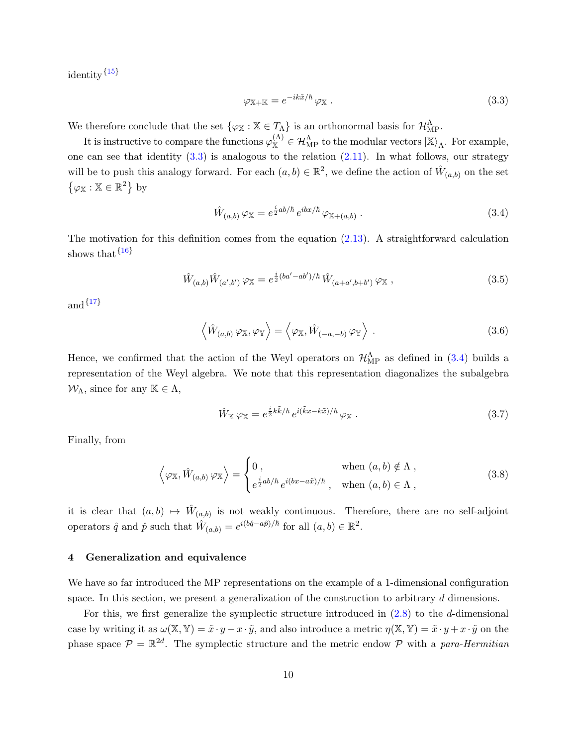<span id="page-10-3"></span>identity  $\{15\}$  $\{15\}$  $\{15\}$ 

<span id="page-10-2"></span><span id="page-10-1"></span>
$$
\varphi_{\mathbb{X} + \mathbb{K}} = e^{-ik\tilde{x}/\hbar} \varphi_{\mathbb{X}}.
$$
\n(3.3)

We therefore conclude that the set  $\{\varphi_{\mathbb{X}} : \mathbb{X} \in T_{\Lambda}\}\)$  is an orthonormal basis for  $\mathcal{H}_{\text{MP}}^{\Lambda}$ .

It is instructive to compare the functions  $\varphi_{\mathbb{X}}^{(\Lambda)} \in \mathcal{H}_{\mathrm{MP}}^{\Lambda}$  to the modular vectors  $|\mathbb{X}\rangle_{\Lambda}$ . For example, one can see that identity  $(3.3)$  is analogous to the relation  $(2.11)$ . In what follows, our strategy will be to push this analogy forward. For each  $(a, b) \in \mathbb{R}^2$ , we define the action of  $\hat{W}_{(a, b)}$  on the set  $\{\varphi_{\mathbb{X}} : \mathbb{X} \in \mathbb{R}^2\}$  by

$$
\hat{W}_{(a,b)}\,\varphi_{\mathbb{X}} = e^{\frac{i}{2}ab/\hbar} \, e^{ibx/\hbar} \,\varphi_{\mathbb{X}+(a,b)} \,. \tag{3.4}
$$

The motivation for this definition comes from the equation [\(2.13\)](#page-7-2). A straightforward calculation shows that  $\{16\}$  $\{16\}$  $\{16\}$ 

<span id="page-10-4"></span>
$$
\hat{W}_{(a,b)}\hat{W}_{(a',b')}\varphi_{\mathbb{X}} = e^{\frac{i}{2}(ba'-ab')/\hbar}\hat{W}_{(a+a',b+b')}\varphi_{\mathbb{X}} ,\qquad (3.5)
$$

<span id="page-10-5"></span>and  $\{17\}$  $\{17\}$  $\{17\}$ 

$$
\langle \hat{W}_{(a,b)} \varphi_{\mathbb{X}}, \varphi_{\mathbb{Y}} \rangle = \langle \varphi_{\mathbb{X}}, \hat{W}_{(-a,-b)} \varphi_{\mathbb{Y}} \rangle . \tag{3.6}
$$

Hence, we confirmed that the action of the Weyl operators on  $\mathcal{H}_{\text{MP}}^{\Lambda}$  as defined in [\(3.4\)](#page-10-2) builds a representation of the Weyl algebra. We note that this representation diagonalizes the subalgebra  $\mathcal{W}_{\Lambda}$ , since for any  $\mathbb{K} \in \Lambda$ ,

$$
\hat{W}_{\mathbb{K}}\,\varphi_{\mathbb{X}}=e^{\frac{i}{2}k\tilde{k}/\hbar}\,e^{i(\tilde{k}x-k\tilde{x})/\hbar}\,\varphi_{\mathbb{X}}\,. \tag{3.7}
$$

Finally, from

$$
\left\langle \varphi_{\mathbb{X}}, \hat{W}_{(a,b)} \varphi_{\mathbb{X}} \right\rangle = \begin{cases} 0, & \text{when } (a,b) \notin \Lambda ,\\ e^{\frac{i}{2}ab/\hbar} e^{i(bx - a\tilde{x})/\hbar}, & \text{when } (a,b) \in \Lambda , \end{cases}
$$
(3.8)

it is clear that  $(a, b) \mapsto \hat{W}_{(a, b)}$  is not weakly continuous. Therefore, there are no self-adjoint operators  $\hat{q}$  and  $\hat{p}$  such that  $\hat{W}_{(a,b)} = e^{i(b\hat{q}-a\hat{p})/\hbar}$  for all  $(a,b) \in \mathbb{R}^2$ .

### <span id="page-10-0"></span>4 Generalization and equivalence

We have so far introduced the MP representations on the example of a 1-dimensional configuration space. In this section, we present a generalization of the construction to arbitrary d dimensions.

For this, we first generalize the symplectic structure introduced in  $(2.8)$  to the d-dimensional case by writing it as  $\omega(\mathbb{X}, \mathbb{Y}) = \tilde{x} \cdot y - x \cdot \tilde{y}$ , and also introduce a metric  $\eta(\mathbb{X}, \mathbb{Y}) = \tilde{x} \cdot y + x \cdot \tilde{y}$  on the phase space  $P = \mathbb{R}^{2d}$ . The symplectic structure and the metric endow P with a para-Hermitian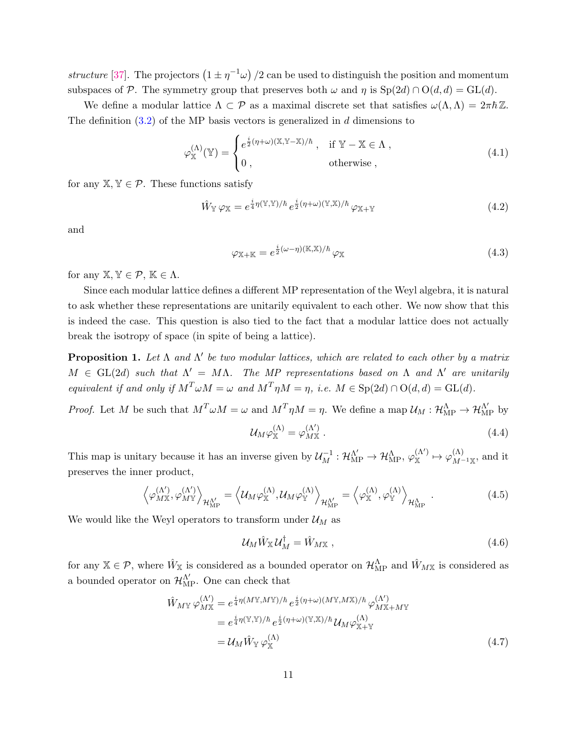structure [\[37\]](#page-32-7). The projectors  $(1 \pm \eta^{-1}\omega)/2$  can be used to distinguish the position and momentum subspaces of P. The symmetry group that preserves both  $\omega$  and  $\eta$  is  $Sp(2d) \cap O(d, d) = GL(d)$ .

We define a modular lattice  $\Lambda \subset \mathcal{P}$  as a maximal discrete set that satisfies  $\omega(\Lambda,\Lambda) = 2\pi\hbar\mathbb{Z}$ . The definition  $(3.2)$  of the MP basis vectors is generalized in d dimensions to

$$
\varphi_{\mathbb{X}}^{(\Lambda)}(\mathbb{Y}) = \begin{cases} e^{\frac{i}{2}(\eta + \omega)(\mathbb{X}, \mathbb{Y} - \mathbb{X})/\hbar} , & \text{if } \mathbb{Y} - \mathbb{X} \in \Lambda , \\ 0 , & \text{otherwise } , \end{cases}
$$
(4.1)

for any  $X, Y \in \mathcal{P}$ . These functions satisfy

$$
\hat{W}_{\mathbb{Y}} \varphi_{\mathbb{X}} = e^{\frac{i}{4}\eta(\mathbb{Y}, \mathbb{Y})/\hbar} e^{\frac{i}{2}(\eta + \omega)(\mathbb{Y}, \mathbb{X})/\hbar} \varphi_{\mathbb{X} + \mathbb{Y}}
$$
\n(4.2)

and

$$
\varphi_{\mathbb{X} + \mathbb{K}} = e^{\frac{i}{2}(\omega - \eta)(\mathbb{K}, \mathbb{X})/\hbar} \varphi_{\mathbb{X}}
$$
\n(4.3)

for any  $X, Y \in \mathcal{P}, K \in \Lambda$ .

Since each modular lattice defines a different MP representation of the Weyl algebra, it is natural to ask whether these representations are unitarily equivalent to each other. We now show that this is indeed the case. This question is also tied to the fact that a modular lattice does not actually break the isotropy of space (in spite of being a lattice).

**Proposition 1.** Let  $\Lambda$  and  $\Lambda'$  be two modular lattices, which are related to each other by a matrix  $M \in GL(2d)$  such that  $\Lambda' = M\Lambda$ . The MP representations based on  $\Lambda$  and  $\Lambda'$  are unitarily equivalent if and only if  $M^T \omega M = \omega$  and  $M^T \eta M = \eta$ , i.e.  $M \in \text{Sp}(2d) \cap \text{O}(d, d) = \text{GL}(d)$ .

*Proof.* Let M be such that  $M^T \omega M = \omega$  and  $M^T \eta M = \eta$ . We define a map  $\mathcal{U}_M : \mathcal{H}_{\text{MP}}^{\Lambda} \to \mathcal{H}_{\text{MP}}^{\Lambda'}$  by

$$
\mathcal{U}_M \varphi_{\mathbb{X}}^{(\Lambda)} = \varphi_{M\mathbb{X}}^{(\Lambda')} \,. \tag{4.4}
$$

This map is unitary because it has an inverse given by  $\mathcal{U}_{M}^{-1} : \mathcal{H}_{MP}^{\Lambda'} \to \mathcal{H}_{MP}^{\Lambda}, \varphi_{X}^{(\Lambda')} \mapsto \varphi_{M}^{(\Lambda)}$  $\frac{d^{(1)}}{M^{-1}\mathbb{X}},$  and it preserves the inner product,

$$
\left\langle \varphi_{M\mathbb{X}}^{(\Lambda')}, \varphi_{M\mathbb{Y}}^{(\Lambda')}\right\rangle_{\mathcal{H}_{\mathrm{MP}}^{\Lambda'}} = \left\langle \mathcal{U}_M \varphi_{\mathbb{X}}^{(\Lambda)}, \mathcal{U}_M \varphi_{\mathbb{Y}}^{(\Lambda)}\right\rangle_{\mathcal{H}_{\mathrm{MP}}^{\Lambda'}} = \left\langle \varphi_{\mathbb{X}}^{(\Lambda)}, \varphi_{\mathbb{Y}}^{(\Lambda)}\right\rangle_{\mathcal{H}_{\mathrm{MP}}^{\Lambda}}.
$$
\n(4.5)

We would like the Weyl operators to transform under  $\mathcal{U}_M$  as

<span id="page-11-0"></span>
$$
\mathcal{U}_M \hat{W}_{\mathbb{X}} \mathcal{U}_M^{\dagger} = \hat{W}_{M\mathbb{X}} \,, \tag{4.6}
$$

for any  $\mathbb{X} \in \mathcal{P}$ , where  $\hat{W}_{\mathbb{X}}$  is considered as a bounded operator on  $\mathcal{H}_{\text{MP}}^{\Lambda}$  and  $\hat{W}_{M\mathbb{X}}$  is considered as a bounded operator on  $\mathcal{H}_{\text{MP}}^{\Lambda'}$ . One can check that

$$
\hat{W}_{M\mathbb{Y}} \varphi_{M\mathbb{X}}^{(\Lambda')} = e^{\frac{i}{4}\eta(M\mathbb{Y},M\mathbb{Y})/\hbar} e^{\frac{i}{2}(\eta+\omega)(M\mathbb{Y},M\mathbb{X})/\hbar} \varphi_{M\mathbb{X}+M\mathbb{Y}}^{(\Lambda')}
$$

$$
= e^{\frac{i}{4}\eta(\mathbb{Y},\mathbb{Y})/\hbar} e^{\frac{i}{2}(\eta+\omega)(\mathbb{Y},\mathbb{X})/\hbar} \mathcal{U}_M \varphi_{\mathbb{X}+\mathbb{Y}}^{(\Lambda)}
$$

$$
= \mathcal{U}_M \hat{W}_{\mathbb{Y}} \varphi_{\mathbb{X}}^{(\Lambda)} \tag{4.7}
$$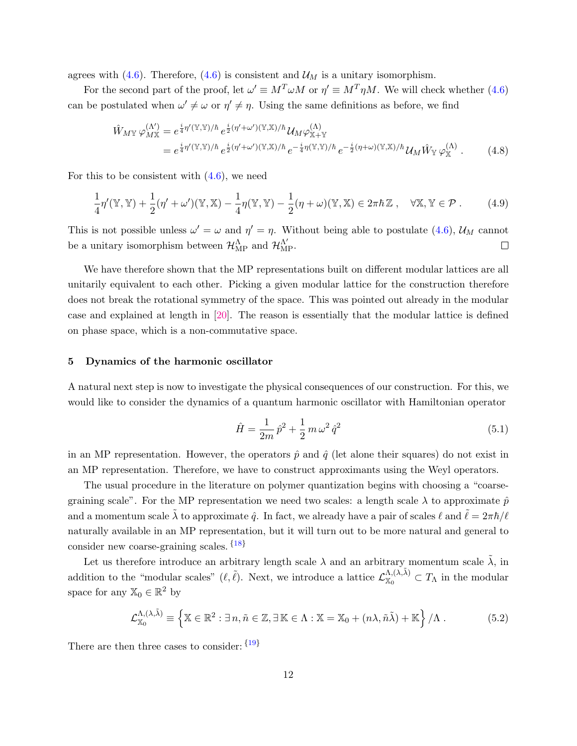agrees with [\(4.6\)](#page-11-0). Therefore, (4.6) is consistent and  $\mathcal{U}_M$  is a unitary isomorphism.

For the second part of the proof, let  $\omega' \equiv M^T \omega M$  or  $\eta' \equiv M^T \eta M$ . We will check whether [\(4.6\)](#page-11-0) can be postulated when  $\omega' \neq \omega$  or  $\eta' \neq \eta$ . Using the same definitions as before, we find

$$
\hat{W}_{M\mathbb{Y}}\varphi_{M\mathbb{X}}^{(\Lambda')} = e^{\frac{i}{4}\eta'(\mathbb{Y},\mathbb{Y})/\hbar}e^{\frac{i}{2}(\eta'+\omega')(\mathbb{Y},\mathbb{X})/\hbar}\mathcal{U}_{M}\varphi_{\mathbb{X}+\mathbb{Y}}^{(\Lambda)}\n= e^{\frac{i}{4}\eta'(\mathbb{Y},\mathbb{Y})/\hbar}e^{\frac{i}{2}(\eta'+\omega')(\mathbb{Y},\mathbb{X})/\hbar}e^{-\frac{i}{4}\eta(\mathbb{Y},\mathbb{Y})/\hbar}e^{-\frac{i}{2}(\eta+\omega)(\mathbb{Y},\mathbb{X})/\hbar}\mathcal{U}_{M}\hat{W}_{\mathbb{Y}}\varphi_{\mathbb{X}}^{(\Lambda)}.
$$
\n(4.8)

For this to be consistent with  $(4.6)$ , we need

$$
\frac{1}{4}\eta'(\mathbb{Y},\mathbb{Y}) + \frac{1}{2}(\eta' + \omega')(\mathbb{Y},\mathbb{X}) - \frac{1}{4}\eta(\mathbb{Y},\mathbb{Y}) - \frac{1}{2}(\eta + \omega)(\mathbb{Y},\mathbb{X}) \in 2\pi\hbar\mathbb{Z}, \quad \forall \mathbb{X}, \mathbb{Y} \in \mathcal{P}.
$$
 (4.9)

This is not possible unless  $\omega' = \omega$  and  $\eta' = \eta$ . Without being able to postulate [\(4.6\)](#page-11-0),  $\mathcal{U}_M$  cannot be a unitary isomorphism between  $\mathcal{H}^{\Lambda}_{\mathrm{MP}}$  and  $\mathcal{H}^{\Lambda'}_{\mathrm{MP}}$ .  $\Box$ 

We have therefore shown that the MP representations built on different modular lattices are all unitarily equivalent to each other. Picking a given modular lattice for the construction therefore does not break the rotational symmetry of the space. This was pointed out already in the modular case and explained at length in [\[20\]](#page-31-7). The reason is essentially that the modular lattice is defined on phase space, which is a non-commutative space.

#### <span id="page-12-0"></span>5 Dynamics of the harmonic oscillator

A natural next step is now to investigate the physical consequences of our construction. For this, we would like to consider the dynamics of a quantum harmonic oscillator with Hamiltonian operator

<span id="page-12-3"></span><span id="page-12-1"></span>
$$
\hat{H} = \frac{1}{2m}\,\hat{p}^2 + \frac{1}{2}\,m\,\omega^2\,\hat{q}^2\tag{5.1}
$$

in an MP representation. However, the operators  $\hat{p}$  and  $\hat{q}$  (let alone their squares) do not exist in an MP representation. Therefore, we have to construct approximants using the Weyl operators.

The usual procedure in the literature on polymer quantization begins with choosing a "coarsegraining scale". For the MP representation we need two scales: a length scale  $\lambda$  to approximate  $\hat{p}$ and a momentum scale  $\tilde{\lambda}$  to approximate  $\hat{q}$ . In fact, we already have a pair of scales  $\ell$  and  $\tilde{\ell} = 2\pi\hbar/\ell$ naturally available in an MP representation, but it will turn out to be more natural and general to consider new coarse-graining scales. {[18](#page-26-0)}

Let us therefore introduce an arbitrary length scale  $\lambda$  and an arbitrary momentum scale  $\tilde{\lambda}$ , in addition to the "modular scales"  $(\ell, \tilde{\ell})$ . Next, we introduce a lattice  $\mathcal{L}_{\mathbb{X}_{0}}^{\Lambda, (\lambda, \tilde{\lambda})}$  $X_0^{(\Lambda,\Lambda)} \subset T_\Lambda$  in the modular space for any  $\mathbb{X}_0 \in \mathbb{R}^2$  by

<span id="page-12-2"></span>
$$
\mathcal{L}_{\mathbb{X}_0}^{\Lambda,(\lambda,\tilde{\lambda})} \equiv \left\{ \mathbb{X} \in \mathbb{R}^2 : \exists n, \tilde{n} \in \mathbb{Z}, \exists \mathbb{K} \in \Lambda : \mathbb{X} = \mathbb{X}_0 + (n\lambda, \tilde{n}\tilde{\lambda}) + \mathbb{K} \right\} / \Lambda . \tag{5.2}
$$

There are then three cases to consider:  $\{19\}$  $\{19\}$  $\{19\}$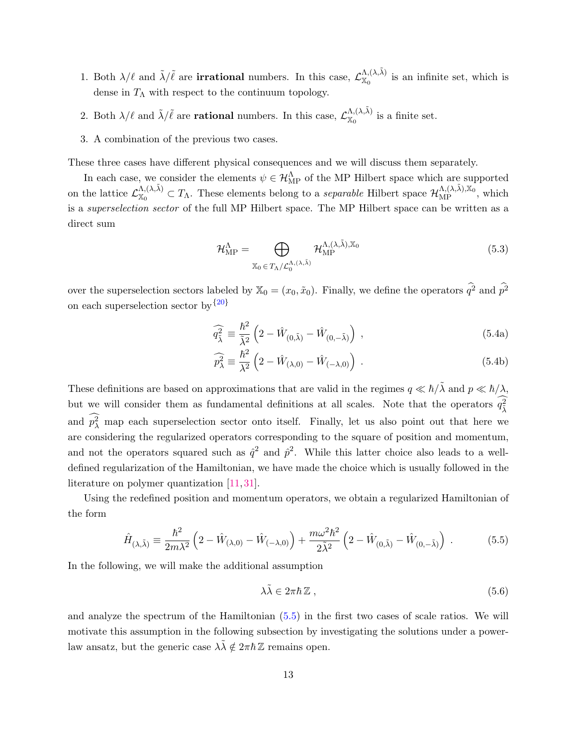- 1. Both  $\lambda/\ell$  and  $\tilde{\lambda}/\tilde{\ell}$  are **irrational** numbers. In this case,  $\mathcal{L}_{\chi}^{\Lambda,(\lambda,\tilde{\lambda})}$  $X_0^{(A,\lambda)}$  is an infinite set, which is dense in  $T_{\Lambda}$  with respect to the continuum topology.
- 2. Both  $\lambda/\ell$  and  $\tilde{\lambda}/\tilde{\ell}$  are **rational** numbers. In this case,  $\mathcal{L}_{\chi_0}^{\Lambda,(\lambda,\tilde{\lambda})}$  $\chi_0^{(\Lambda,\Lambda)}$  is a finite set.
- 3. A combination of the previous two cases.

These three cases have different physical consequences and we will discuss them separately.

In each case, we consider the elements  $\psi \in \mathcal{H}_{MP}^{\Lambda}$  of the MP Hilbert space which are supported on the lattice  $\mathcal{L}_{\mathbb{X}_{0}}^{\Lambda,(\lambda,\tilde{\lambda})}$  $X_{\infty}^{(\lambda,\tilde{\lambda})} \subset T_{\Lambda}$ . These elements belong to a *separable* Hilbert space  $\mathcal{H}_{\text{MP}}^{\Lambda,(\lambda,\tilde{\lambda}),\mathbb{X}_{0}}$ , which is a superselection sector of the full MP Hilbert space. The MP Hilbert space can be written as a direct sum

$$
\mathcal{H}_{\mathrm{MP}}^{\Lambda} = \bigoplus_{\mathbb{X}_0 \in T_{\Lambda}/\mathcal{L}_0^{\Lambda,(\lambda,\tilde{\lambda})}} \mathcal{H}_{\mathrm{MP}}^{\Lambda,(\lambda,\tilde{\lambda}),\mathbb{X}_0}
$$
(5.3)

over the superselection sectors labeled by  $\mathbb{X}_0 = (x_0, \tilde{x}_0)$ . Finally, we define the operators  $\hat{q}^2$  and  $\hat{p}^2$ on each superselection sector by  $\{20\}$  $\{20\}$  $\{20\}$ 

<span id="page-13-2"></span>
$$
\widehat{q_{\tilde{\lambda}}^2} \equiv \frac{\hbar^2}{\tilde{\lambda}^2} \left( 2 - \hat{W}_{(0,\tilde{\lambda})} - \hat{W}_{(0,-\tilde{\lambda})} \right) , \qquad (5.4a)
$$

$$
\widehat{p_{\lambda}^2} \equiv \frac{\hbar^2}{\lambda^2} \left( 2 - \hat{W}_{(\lambda,0)} - \hat{W}_{(-\lambda,0)} \right) \,. \tag{5.4b}
$$

These definitions are based on approximations that are valid in the regimes  $q \ll \hbar/\lambda$  and  $p \ll \hbar/\lambda$ , but we will consider them as fundamental definitions at all scales. Note that the operators  $q_{\tilde{\lambda}}^2$ and  $p_{\lambda}^2$  map each superselection sector onto itself. Finally, let us also point out that here we are considering the regularized operators corresponding to the square of position and momentum, and not the operators squared such as  $\hat{q}^2$  and  $\hat{p}^2$ . While this latter choice also leads to a welldefined regularization of the Hamiltonian, we have made the choice which is usually followed in the literature on polymer quantization [\[11,](#page-30-11) [31\]](#page-32-1).

Using the redefined position and momentum operators, we obtain a regularized Hamiltonian of the form

$$
\hat{H}_{(\lambda,\tilde{\lambda})} \equiv \frac{\hbar^2}{2m\lambda^2} \left( 2 - \hat{W}_{(\lambda,0)} - \hat{W}_{(-\lambda,0)} \right) + \frac{m\omega^2 \hbar^2}{2\tilde{\lambda}^2} \left( 2 - \hat{W}_{(0,\tilde{\lambda})} - \hat{W}_{(0,-\tilde{\lambda})} \right) \,. \tag{5.5}
$$

In the following, we will make the additional assumption

<span id="page-13-1"></span><span id="page-13-0"></span>
$$
\lambda \tilde{\lambda} \in 2\pi \hbar \, \mathbb{Z} \;, \tag{5.6}
$$

and analyze the spectrum of the Hamiltonian [\(5.5\)](#page-13-0) in the first two cases of scale ratios. We will motivate this assumption in the following subsection by investigating the solutions under a powerlaw ansatz, but the generic case  $\lambda \tilde{\lambda} \notin 2\pi \hbar \mathbb{Z}$  remains open.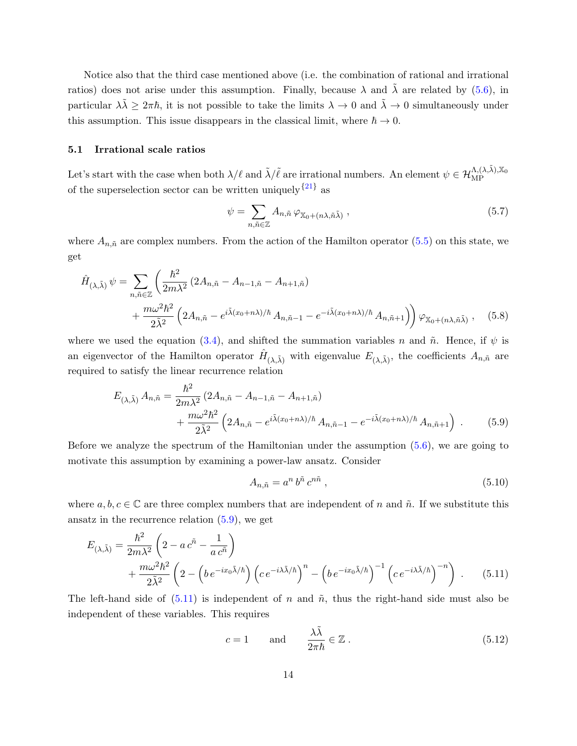Notice also that the third case mentioned above (i.e. the combination of rational and irrational ratios) does not arise under this assumption. Finally, because  $\lambda$  and  $\tilde{\lambda}$  are related by [\(5.6\)](#page-13-1), in particular  $\lambda \tilde{\lambda} \geq 2\pi \hbar$ , it is not possible to take the limits  $\lambda \to 0$  and  $\tilde{\lambda} \to 0$  simultaneously under this assumption. This issue disappears in the classical limit, where  $\hbar \to 0$ .

## <span id="page-14-0"></span>5.1 Irrational scale ratios

Let's start with the case when both  $\lambda/\ell$  and  $\tilde{\lambda}/\tilde{\ell}$  are irrational numbers. An element  $\psi \in \mathcal{H}_{\text{MP}}^{\Lambda,(\lambda,\tilde{\lambda}),\mathbb{X}_0}$ of the superselection sector can be written uniquely  ${21}$  ${21}$  ${21}$  as

<span id="page-14-6"></span><span id="page-14-5"></span>
$$
\psi = \sum_{n,\tilde{n}\in\mathbb{Z}} A_{n,\tilde{n}} \varphi_{\mathbb{X}_0 + (n\lambda,\tilde{n}\tilde{\lambda})},\tag{5.7}
$$

where  $A_{n,\tilde{n}}$  are complex numbers. From the action of the Hamilton operator [\(5.5\)](#page-13-0) on this state, we get

$$
\hat{H}_{(\lambda,\tilde{\lambda})} \psi = \sum_{n,\tilde{n}\in\mathbb{Z}} \left( \frac{\hbar^2}{2m\lambda^2} \left( 2A_{n,\tilde{n}} - A_{n-1,\tilde{n}} - A_{n+1,\tilde{n}} \right) \right. \\
\left. + \frac{m\omega^2 \hbar^2}{2\tilde{\lambda}^2} \left( 2A_{n,\tilde{n}} - e^{i\tilde{\lambda}(x_0+n\lambda)/\hbar} A_{n,\tilde{n}-1} - e^{-i\tilde{\lambda}(x_0+n\lambda)/\hbar} A_{n,\tilde{n}+1} \right) \right) \varphi_{\mathbb{X}_0 + (n\lambda,\tilde{n}\tilde{\lambda})}, \quad (5.8)
$$

where we used the equation [\(3.4\)](#page-10-2), and shifted the summation variables n and  $\tilde{n}$ . Hence, if  $\psi$  is an eigenvector of the Hamilton operator  $\hat{H}_{(\lambda,\tilde{\lambda})}$  with eigenvalue  $E_{(\lambda,\tilde{\lambda})}$ , the coefficients  $A_{n,\tilde{n}}$  are required to satisfy the linear recurrence relation

$$
E_{(\lambda,\tilde{\lambda})} A_{n,\tilde{n}} = \frac{\hbar^2}{2m\lambda^2} \left( 2A_{n,\tilde{n}} - A_{n-1,\tilde{n}} - A_{n+1,\tilde{n}} \right) + \frac{m\omega^2 \hbar^2}{2\tilde{\lambda}^2} \left( 2A_{n,\tilde{n}} - e^{i\tilde{\lambda}(x_0 + n\lambda)/\hbar} A_{n,\tilde{n}-1} - e^{-i\tilde{\lambda}(x_0 + n\lambda)/\hbar} A_{n,\tilde{n}+1} \right) .
$$
 (5.9)

Before we analyze the spectrum of the Hamiltonian under the assumption  $(5.6)$ , we are going to motivate this assumption by examining a power-law ansatz. Consider

<span id="page-14-3"></span><span id="page-14-2"></span><span id="page-14-1"></span>
$$
A_{n,\tilde{n}} = a^n b^{\tilde{n}} c^{n\tilde{n}}, \qquad (5.10)
$$

where  $a, b, c \in \mathbb{C}$  are three complex numbers that are independent of n and  $\tilde{n}$ . If we substitute this ansatz in the recurrence relation  $(5.9)$ , we get

$$
E_{(\lambda,\tilde{\lambda})} = \frac{\hbar^2}{2m\lambda^2} \left( 2 - a \, c^{\tilde{n}} - \frac{1}{a \, c^{\tilde{n}}} \right) + \frac{m\omega^2 \hbar^2}{2\tilde{\lambda}^2} \left( 2 - \left( b \, e^{-ix_0 \tilde{\lambda}/\hbar} \right) \left( c \, e^{-i\lambda \tilde{\lambda}/\hbar} \right)^n - \left( b \, e^{-ix_0 \tilde{\lambda}/\hbar} \right)^{-1} \left( c \, e^{-i\lambda \tilde{\lambda}/\hbar} \right)^{-n} \right) \,. \tag{5.11}
$$

The left-hand side of  $(5.11)$  is independent of n and  $\tilde{n}$ , thus the right-hand side must also be independent of these variables. This requires

<span id="page-14-4"></span>
$$
c = 1
$$
 and  $\frac{\lambda \tilde{\lambda}}{2\pi \hbar} \in \mathbb{Z}$ . (5.12)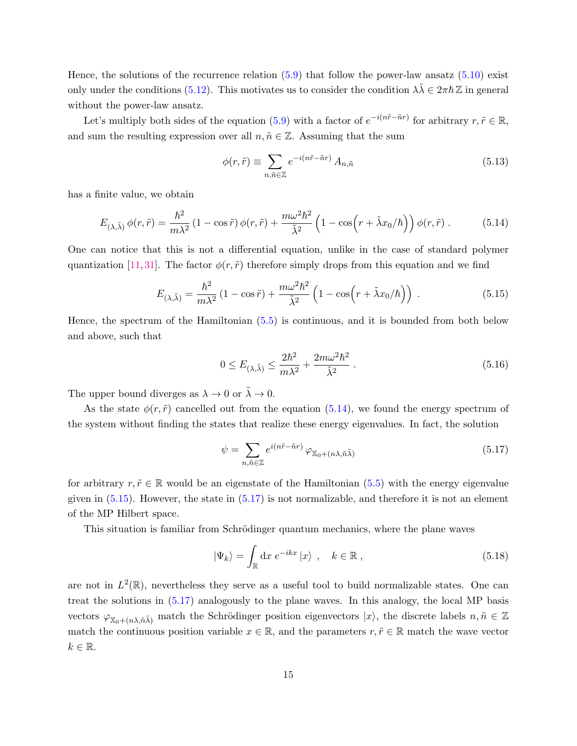Hence, the solutions of the recurrence relation [\(5.9\)](#page-14-1) that follow the power-law ansatz [\(5.10\)](#page-14-3) exist only under the conditions [\(5.12\)](#page-14-4). This motivates us to consider the condition  $\lambda \tilde{\lambda} \in 2\pi \hbar \mathbb{Z}$  in general without the power-law ansatz.

Let's multiply both sides of the equation [\(5.9\)](#page-14-1) with a factor of  $e^{-i(n\tilde{r}-\tilde{n}r)}$  for arbitrary  $r, \tilde{r} \in \mathbb{R}$ , and sum the resulting expression over all  $n, \tilde{n} \in \mathbb{Z}$ . Assuming that the sum

<span id="page-15-3"></span><span id="page-15-0"></span>
$$
\phi(r,\tilde{r}) \equiv \sum_{n,\tilde{n}\in\mathbb{Z}} e^{-i(n\tilde{r}-\tilde{n}r)} A_{n,\tilde{n}} \tag{5.13}
$$

has a finite value, we obtain

$$
E_{(\lambda,\tilde{\lambda})} \phi(r,\tilde{r}) = \frac{\hbar^2}{m\lambda^2} \left(1 - \cos\tilde{r}\right) \phi(r,\tilde{r}) + \frac{m\omega^2 \hbar^2}{\tilde{\lambda}^2} \left(1 - \cos\left(r + \tilde{\lambda}x_0/\hbar\right)\right) \phi(r,\tilde{r})\,. \tag{5.14}
$$

One can notice that this is not a differential equation, unlike in the case of standard polymer quantization [\[11,](#page-30-11) [31\]](#page-32-1). The factor  $\phi(r, \tilde{r})$  therefore simply drops from this equation and we find

$$
E_{(\lambda,\tilde{\lambda})} = \frac{\hbar^2}{m\lambda^2} \left(1 - \cos\tilde{r}\right) + \frac{m\omega^2 \hbar^2}{\tilde{\lambda}^2} \left(1 - \cos\left(r + \tilde{\lambda}x_0/\hbar\right)\right) \,. \tag{5.15}
$$

Hence, the spectrum of the Hamiltonian [\(5.5\)](#page-13-0) is continuous, and it is bounded from both below and above, such that

<span id="page-15-1"></span>
$$
0 \le E_{(\lambda,\tilde{\lambda})} \le \frac{2\hbar^2}{m\lambda^2} + \frac{2m\omega^2\hbar^2}{\tilde{\lambda}^2} \,. \tag{5.16}
$$

The upper bound diverges as  $\lambda \to 0$  or  $\tilde{\lambda} \to 0$ .

As the state  $\phi(r, \tilde{r})$  cancelled out from the equation [\(5.14\)](#page-15-0), we found the energy spectrum of the system without finding the states that realize these energy eigenvalues. In fact, the solution

<span id="page-15-2"></span>
$$
\psi = \sum_{n,\tilde{n}\in\mathbb{Z}} e^{i(n\tilde{r}-\tilde{n}r)} \varphi_{\mathbb{X}_0 + (n\lambda,\tilde{n}\tilde{\lambda})}
$$
(5.17)

for arbitrary  $r, \tilde{r} \in \mathbb{R}$  would be an eigenstate of the Hamiltonian [\(5.5\)](#page-13-0) with the energy eigenvalue given in  $(5.15)$ . However, the state in  $(5.17)$  is not normalizable, and therefore it is not an element of the MP Hilbert space.

This situation is familiar from Schrödinger quantum mechanics, where the plane waves

$$
|\Psi_k\rangle = \int_{\mathbb{R}} \mathrm{d}x \; e^{-ikx} |x\rangle \;, \quad k \in \mathbb{R} \;, \tag{5.18}
$$

are not in  $L^2(\mathbb{R})$ , nevertheless they serve as a useful tool to build normalizable states. One can treat the solutions in [\(5.17\)](#page-15-2) analogously to the plane waves. In this analogy, the local MP basis vectors  $\varphi_{\mathbb{X}_0+(n\lambda,\tilde{n}\tilde{\lambda})}$  match the Schrödinger position eigenvectors  $|x\rangle$ , the discrete labels  $n,\tilde{n} \in \mathbb{Z}$ match the continuous position variable  $x \in \mathbb{R}$ , and the parameters  $r, \tilde{r} \in \mathbb{R}$  match the wave vector  $k \in \mathbb{R}$ .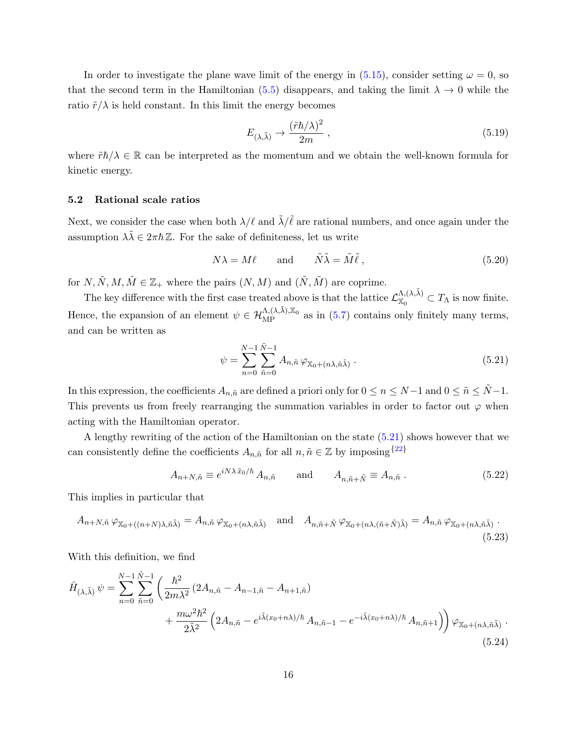In order to investigate the plane wave limit of the energy in [\(5.15\)](#page-15-1), consider setting  $\omega = 0$ , so that the second term in the Hamiltonian [\(5.5\)](#page-13-0) disappears, and taking the limit  $\lambda \to 0$  while the ratio  $\tilde{r}/\lambda$  is held constant. In this limit the energy becomes

$$
E_{(\lambda,\tilde{\lambda})} \to \frac{(\tilde{r}\hbar/\lambda)^2}{2m} \,, \tag{5.19}
$$

where  $\tilde{r}\hbar/\lambda \in \mathbb{R}$  can be interpreted as the momentum and we obtain the well-known formula for kinetic energy.

#### <span id="page-16-0"></span>5.2 Rational scale ratios

Next, we consider the case when both  $\lambda/\ell$  and  $\tilde{\lambda}/\tilde{\ell}$  are rational numbers, and once again under the assumption  $\lambda \tilde{\lambda} \in 2\pi \hbar \mathbb{Z}$ . For the sake of definiteness, let us write

$$
N\lambda = M\ell \qquad \text{and} \qquad \tilde{N}\tilde{\lambda} = \tilde{M}\tilde{\ell} \,, \tag{5.20}
$$

for  $N, \tilde{N}, M, \tilde{M} \in \mathbb{Z}_+$  where the pairs  $(N, M)$  and  $(\tilde{N}, \tilde{M})$  are coprime.

The key difference with the first case treated above is that the lattice  $\mathcal{L}_{\infty}^{\Lambda,(\lambda,\tilde{\lambda})}$  $X_0^{(\Lambda,\Lambda)} \subset T_\Lambda$  is now finite. Hence, the expansion of an element  $\psi \in \mathcal{H}_{MP}^{\Lambda,(\lambda,\tilde{\lambda}),\mathbb{X}_0}$  as in [\(5.7\)](#page-14-5) contains only finitely many terms, and can be written as

<span id="page-16-3"></span><span id="page-16-2"></span><span id="page-16-1"></span>
$$
\psi = \sum_{n=0}^{N-1} \sum_{\tilde{n}=0}^{\tilde{N}-1} A_{n,\tilde{n}} \varphi_{\mathbb{X}_0 + (n\lambda, \tilde{n}\tilde{\lambda})} .
$$
\n(5.21)

In this expression, the coefficients  $A_{n,\tilde{n}}$  are defined a priori only for  $0 \leq n \leq N-1$  and  $0 \leq \tilde{n} \leq \tilde{N}-1$ . This prevents us from freely rearranging the summation variables in order to factor out  $\varphi$  when acting with the Hamiltonian operator.

A lengthy rewriting of the action of the Hamiltonian on the state [\(5.21\)](#page-16-1) shows however that we can consistently define the coefficients  $A_{n,\tilde{n}}$  for all  $n,\tilde{n} \in \mathbb{Z}$  by imposing  $\{^{22}\}$  $\{^{22}\}$  $\{^{22}\}$ 

<span id="page-16-4"></span>
$$
A_{n+N,\tilde{n}} \equiv e^{iN\lambda \tilde{x}_0/\hbar} A_{n,\tilde{n}} \quad \text{and} \quad A_{n,\tilde{n}+\tilde{N}} \equiv A_{n,\tilde{n}} . \tag{5.22}
$$

This implies in particular that

$$
A_{n+N,\tilde{n}} \varphi_{\mathbb{X}_0 + ((n+N)\lambda, \tilde{n}\tilde{\lambda})} = A_{n,\tilde{n}} \varphi_{\mathbb{X}_0 + (n\lambda, \tilde{n}\tilde{\lambda})} \quad \text{and} \quad A_{n,\tilde{n}+\tilde{N}} \varphi_{\mathbb{X}_0 + (n\lambda, (\tilde{n}+\tilde{N})\tilde{\lambda})} = A_{n,\tilde{n}} \varphi_{\mathbb{X}_0 + (n\lambda, \tilde{n}\tilde{\lambda})}.
$$
\n(5.23)

With this definition, we find

$$
\hat{H}_{(\lambda,\tilde{\lambda})} \psi = \sum_{n=0}^{N-1} \sum_{\tilde{n}=0}^{\tilde{N}-1} \left( \frac{\hbar^2}{2m\lambda^2} \left( 2A_{n,\tilde{n}} - A_{n-1,\tilde{n}} - A_{n+1,\tilde{n}} \right) + \frac{m\omega^2 \hbar^2}{2\tilde{\lambda}^2} \left( 2A_{n,\tilde{n}} - e^{i\tilde{\lambda}(x_0+n\lambda)/\hbar} A_{n,\tilde{n}-1} - e^{-i\tilde{\lambda}(x_0+n\lambda)/\hbar} A_{n,\tilde{n}+1} \right) \right) \varphi_{\mathbb{X}_0 + (n\lambda, \tilde{n}\tilde{\lambda})}.
$$
\n(5.24)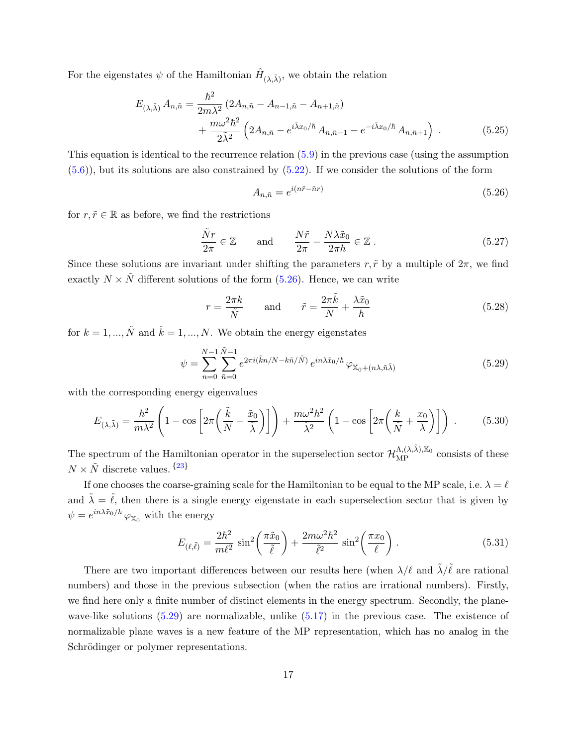For the eigenstates  $\psi$  of the Hamiltonian  $\hat{H}_{(\lambda,\tilde{\lambda})}$ , we obtain the relation

$$
E_{(\lambda,\tilde{\lambda})} A_{n,\tilde{n}} = \frac{\hbar^2}{2m\lambda^2} (2A_{n,\tilde{n}} - A_{n-1,\tilde{n}} - A_{n+1,\tilde{n}}) + \frac{m\omega^2 \hbar^2}{2\tilde{\lambda}^2} \left( 2A_{n,\tilde{n}} - e^{i\tilde{\lambda}x_0/\hbar} A_{n,\tilde{n}-1} - e^{-i\tilde{\lambda}x_0/\hbar} A_{n,\tilde{n}+1} \right) .
$$
 (5.25)

This equation is identical to the recurrence relation  $(5.9)$  in the previous case (using the assumption  $(5.6)$ , but its solutions are also constrained by  $(5.22)$ . If we consider the solutions of the form

<span id="page-17-2"></span><span id="page-17-1"></span>
$$
A_{n,\tilde{n}} = e^{i(n\tilde{r} - \tilde{n}r)}\tag{5.26}
$$

for  $r, \tilde{r} \in \mathbb{R}$  as before, we find the restrictions

$$
\frac{\tilde{N}r}{2\pi} \in \mathbb{Z} \quad \text{and} \quad \frac{N\tilde{r}}{2\pi} - \frac{N\lambda \tilde{x}_0}{2\pi\hbar} \in \mathbb{Z} \ . \tag{5.27}
$$

Since these solutions are invariant under shifting the parameters  $r, \tilde{r}$  by a multiple of  $2\pi$ , we find exactly  $N \times \tilde{N}$  different solutions of the form [\(5.26\)](#page-17-1). Hence, we can write

$$
r = \frac{2\pi k}{\tilde{N}} \quad \text{and} \quad \tilde{r} = \frac{2\pi \tilde{k}}{N} + \frac{\lambda \tilde{x}_0}{\hbar}
$$
 (5.28)

for  $k = 1, ..., \tilde{N}$  and  $\tilde{k} = 1, ..., N$ . We obtain the energy eigenstates

$$
\psi = \sum_{n=0}^{N-1} \sum_{\tilde{n}=0}^{\tilde{N}-1} e^{2\pi i (\tilde{k}n/N - k\tilde{n}/\tilde{N})} e^{in\lambda \tilde{x}_0/\hbar} \varphi_{\mathbb{X}_0 + (n\lambda, \tilde{n}\tilde{\lambda})}
$$
(5.29)

with the corresponding energy eigenvalues

$$
E_{(\lambda,\tilde{\lambda})} = \frac{\hbar^2}{m\lambda^2} \left( 1 - \cos \left[ 2\pi \left( \frac{\tilde{k}}{N} + \frac{\tilde{x}_0}{\tilde{\lambda}} \right) \right] \right) + \frac{m\omega^2 \hbar^2}{\tilde{\lambda}^2} \left( 1 - \cos \left[ 2\pi \left( \frac{k}{\tilde{N}} + \frac{x_0}{\lambda} \right) \right] \right) \,. \tag{5.30}
$$

The spectrum of the Hamiltonian operator in the superselection sector  $\mathcal{H}_{\text{MP}}^{\Lambda,(\lambda,\tilde{\lambda}),\mathbb{X}_0}$  consists of these  $N \times \tilde{N}$  discrete values.  $\{23\}$  $\{23\}$  $\{23\}$ 

If one chooses the coarse-graining scale for the Hamiltonian to be equal to the MP scale, i.e.  $\lambda = \ell$ and  $\tilde{\lambda} = \tilde{\ell}$ , then there is a single energy eigenstate in each superselection sector that is given by  $\psi = e^{i n \lambda \tilde{x}_0 / \hbar} \varphi_{\mathbb{X}_0}$  with the energy

<span id="page-17-3"></span>
$$
E_{(\ell,\tilde{\ell})} = \frac{2\hbar^2}{m\ell^2} \sin^2\left(\frac{\pi\tilde{x}_0}{\tilde{\ell}}\right) + \frac{2m\omega^2\hbar^2}{\tilde{\ell}^2} \sin^2\left(\frac{\pi x_0}{\ell}\right). \tag{5.31}
$$

<span id="page-17-0"></span>There are two important differences between our results here (when  $\lambda/\ell$  and  $\tilde{\lambda}/\tilde{\ell}$  are rational numbers) and those in the previous subsection (when the ratios are irrational numbers). Firstly, we find here only a finite number of distinct elements in the energy spectrum. Secondly, the planewave-like solutions [\(5.29\)](#page-17-2) are normalizable, unlike [\(5.17\)](#page-15-2) in the previous case. The existence of normalizable plane waves is a new feature of the MP representation, which has no analog in the Schrödinger or polymer representations.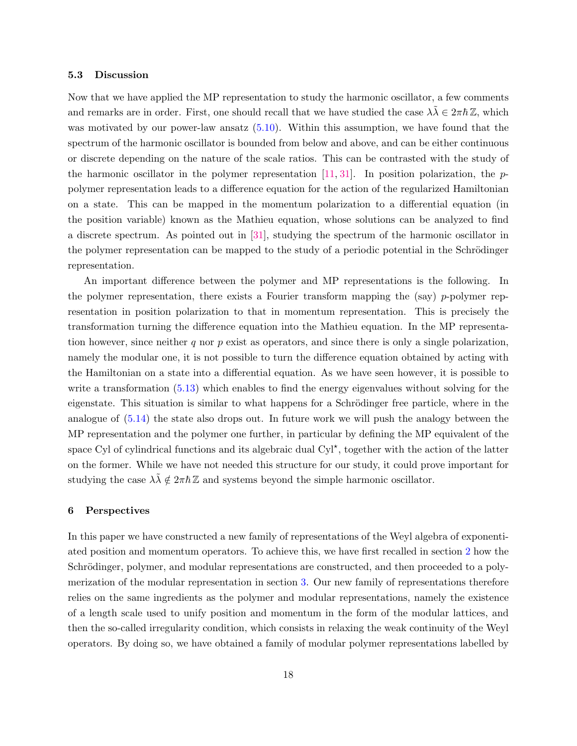#### 5.3 Discussion

Now that we have applied the MP representation to study the harmonic oscillator, a few comments and remarks are in order. First, one should recall that we have studied the case  $\lambda \tilde{\lambda} \in 2\pi \hbar \mathbb{Z}$ , which was motivated by our power-law ansatz  $(5.10)$ . Within this assumption, we have found that the spectrum of the harmonic oscillator is bounded from below and above, and can be either continuous or discrete depending on the nature of the scale ratios. This can be contrasted with the study of the harmonic oscillator in the polymer representation  $[11, 31]$  $[11, 31]$  $[11, 31]$ . In position polarization, the ppolymer representation leads to a difference equation for the action of the regularized Hamiltonian on a state. This can be mapped in the momentum polarization to a differential equation (in the position variable) known as the Mathieu equation, whose solutions can be analyzed to find a discrete spectrum. As pointed out in [\[31\]](#page-32-1), studying the spectrum of the harmonic oscillator in the polymer representation can be mapped to the study of a periodic potential in the Schrödinger representation.

An important difference between the polymer and MP representations is the following. In the polymer representation, there exists a Fourier transform mapping the  $(say)$  p-polymer representation in position polarization to that in momentum representation. This is precisely the transformation turning the difference equation into the Mathieu equation. In the MP representation however, since neither q nor p exist as operators, and since there is only a single polarization, namely the modular one, it is not possible to turn the difference equation obtained by acting with the Hamiltonian on a state into a differential equation. As we have seen however, it is possible to write a transformation  $(5.13)$  which enables to find the energy eigenvalues without solving for the eigenstate. This situation is similar to what happens for a Schrödinger free particle, where in the analogue of [\(5.14\)](#page-15-0) the state also drops out. In future work we will push the analogy between the MP representation and the polymer one further, in particular by defining the MP equivalent of the space Cyl of cylindrical functions and its algebraic dual Cyl<sup>\*</sup>, together with the action of the latter on the former. While we have not needed this structure for our study, it could prove important for studying the case  $\lambda \tilde{\lambda} \notin 2\pi \hbar \mathbb{Z}$  and systems beyond the simple harmonic oscillator.

### <span id="page-18-0"></span>6 Perspectives

In this paper we have constructed a new family of representations of the Weyl algebra of exponentiated position and momentum operators. To achieve this, we have first recalled in section [2](#page-4-0) how the Schrödinger, polymer, and modular representations are constructed, and then proceeded to a polymerization of the modular representation in section [3.](#page-9-0) Our new family of representations therefore relies on the same ingredients as the polymer and modular representations, namely the existence of a length scale used to unify position and momentum in the form of the modular lattices, and then the so-called irregularity condition, which consists in relaxing the weak continuity of the Weyl operators. By doing so, we have obtained a family of modular polymer representations labelled by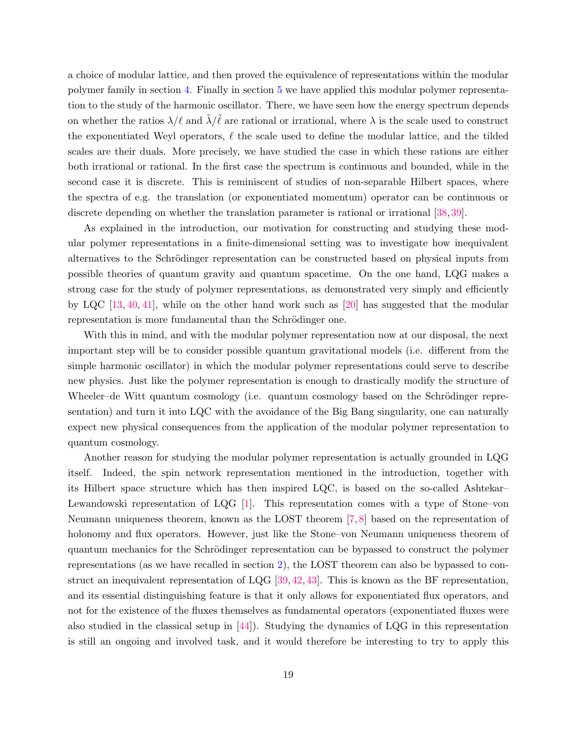a choice of modular lattice, and then proved the equivalence of representations within the modular polymer family in section [4.](#page-10-0) Finally in section [5](#page-12-0) we have applied this modular polymer representation to the study of the harmonic oscillator. There, we have seen how the energy spectrum depends on whether the ratios  $\lambda/\ell$  and  $\tilde{\lambda}/\tilde{\ell}$  are rational or irrational, where  $\lambda$  is the scale used to construct the exponentiated Weyl operators,  $\ell$  the scale used to define the modular lattice, and the tilded scales are their duals. More precisely, we have studied the case in which these rations are either both irrational or rational. In the first case the spectrum is continuous and bounded, while in the second case it is discrete. This is reminiscent of studies of non-separable Hilbert spaces, where the spectra of e.g. the translation (or exponentiated momentum) operator can be continuous or discrete depending on whether the translation parameter is rational or irrational [\[38,](#page-32-8) [39\]](#page-32-9).

As explained in the introduction, our motivation for constructing and studying these modular polymer representations in a finite-dimensional setting was to investigate how inequivalent alternatives to the Schrödinger representation can be constructed based on physical inputs from possible theories of quantum gravity and quantum spacetime. On the one hand, LQG makes a strong case for the study of polymer representations, as demonstrated very simply and efficiently by LQC [\[13,](#page-30-8) [40,](#page-32-10) [41\]](#page-32-11), while on the other hand work such as [\[20\]](#page-31-7) has suggested that the modular representation is more fundamental than the Schrödinger one.

With this in mind, and with the modular polymer representation now at our disposal, the next important step will be to consider possible quantum gravitational models (i.e. different from the simple harmonic oscillator) in which the modular polymer representations could serve to describe new physics. Just like the polymer representation is enough to drastically modify the structure of Wheeler–de Witt quantum cosmology (i.e. quantum cosmology based on the Schrödinger representation) and turn it into LQC with the avoidance of the Big Bang singularity, one can naturally expect new physical consequences from the application of the modular polymer representation to quantum cosmology.

Another reason for studying the modular polymer representation is actually grounded in LQG itself. Indeed, the spin network representation mentioned in the introduction, together with its Hilbert space structure which has then inspired LQC, is based on the so-called Ashtekar– Lewandowski representation of LQG [\[1\]](#page-30-0). This representation comes with a type of Stone–von Neumann uniqueness theorem, known as the LOST theorem [\[7,](#page-30-4) [8\]](#page-30-5) based on the representation of holonomy and flux operators. However, just like the Stone–von Neumann uniqueness theorem of quantum mechanics for the Schrödinger representation can be bypassed to construct the polymer representations (as we have recalled in section [2\)](#page-4-0), the LOST theorem can also be bypassed to construct an inequivalent representation of LQG [\[39,](#page-32-9) [42,](#page-32-12) [43\]](#page-32-13). This is known as the BF representation, and its essential distinguishing feature is that it only allows for exponentiated flux operators, and not for the existence of the fluxes themselves as fundamental operators (exponentiated fluxes were also studied in the classical setup in [\[44\]](#page-32-14)). Studying the dynamics of LQG in this representation is still an ongoing and involved task, and it would therefore be interesting to try to apply this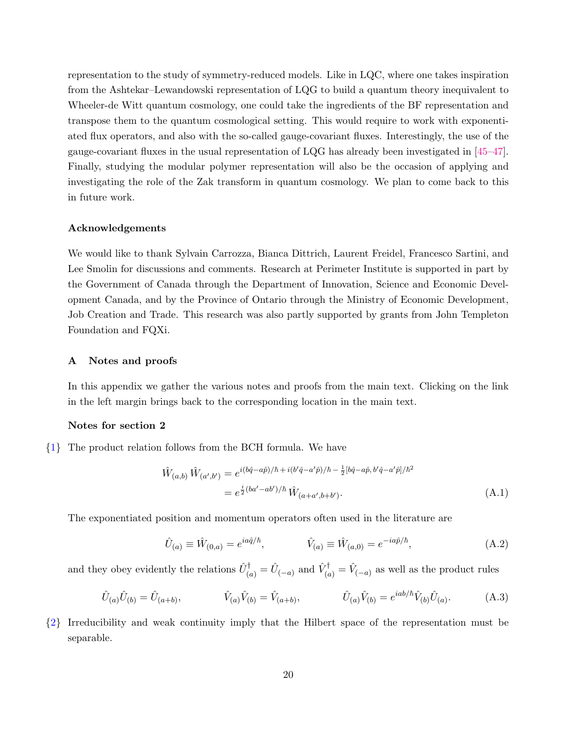representation to the study of symmetry-reduced models. Like in LQC, where one takes inspiration from the Ashtekar–Lewandowski representation of LQG to build a quantum theory inequivalent to Wheeler-de Witt quantum cosmology, one could take the ingredients of the BF representation and transpose them to the quantum cosmological setting. This would require to work with exponentiated flux operators, and also with the so-called gauge-covariant fluxes. Interestingly, the use of the gauge-covariant fluxes in the usual representation of LQG has already been investigated in [\[45–](#page-33-0)[47\]](#page-33-1). Finally, studying the modular polymer representation will also be the occasion of applying and investigating the role of the Zak transform in quantum cosmology. We plan to come back to this in future work.

## Acknowledgements

We would like to thank Sylvain Carrozza, Bianca Dittrich, Laurent Freidel, Francesco Sartini, and Lee Smolin for discussions and comments. Research at Perimeter Institute is supported in part by the Government of Canada through the Department of Innovation, Science and Economic Development Canada, and by the Province of Ontario through the Ministry of Economic Development, Job Creation and Trade. This research was also partly supported by grants from John Templeton Foundation and FQXi.

### <span id="page-20-0"></span>A Notes and proofs

In this appendix we gather the various notes and proofs from the main text. Clicking on the link in the left margin brings back to the corresponding location in the main text.

# Notes for section 2

<span id="page-20-1"></span>{[1](#page-4-2)} The product relation follows from the BCH formula. We have

$$
\hat{W}_{(a,b)}\,\hat{W}_{(a',b')} = e^{i(b\hat{q}-a\hat{p})/\hbar + i(b'\hat{q}-a'\hat{p})/\hbar - \frac{1}{2}[b\hat{q}-a\hat{p},b'\hat{q}-a'\hat{p}]/\hbar^2}
$$
\n
$$
= e^{\frac{i}{2}(ba'-ab')/\hbar}\,\hat{W}_{(a+a',b+b')}.\tag{A.1}
$$

The exponentiated position and momentum operators often used in the literature are

$$
\hat{U}_{(a)} \equiv \hat{W}_{(0,a)} = e^{ia\hat{q}/\hbar}, \qquad \hat{V}_{(a)} \equiv \hat{W}_{(a,0)} = e^{-ia\hat{p}/\hbar}, \qquad (A.2)
$$

and they obey evidently the relations  $\hat{U}_{(a)}^{\dagger} = \hat{U}_{(-a)}$  and  $\hat{V}_{(a)}^{\dagger} = \hat{V}_{(-a)}$  as well as the product rules

$$
\hat{U}_{(a)}\hat{U}_{(b)} = \hat{U}_{(a+b)}, \qquad \hat{V}_{(a)}\hat{V}_{(b)} = \hat{V}_{(a+b)}, \qquad \hat{U}_{(a)}\hat{V}_{(b)} = e^{iab/\hbar}\hat{V}_{(b)}\hat{U}_{(a)}.
$$
\n(A.3)

<span id="page-20-2"></span>{[2](#page-4-3)} Irreducibility and weak continuity imply that the Hilbert space of the representation must be separable.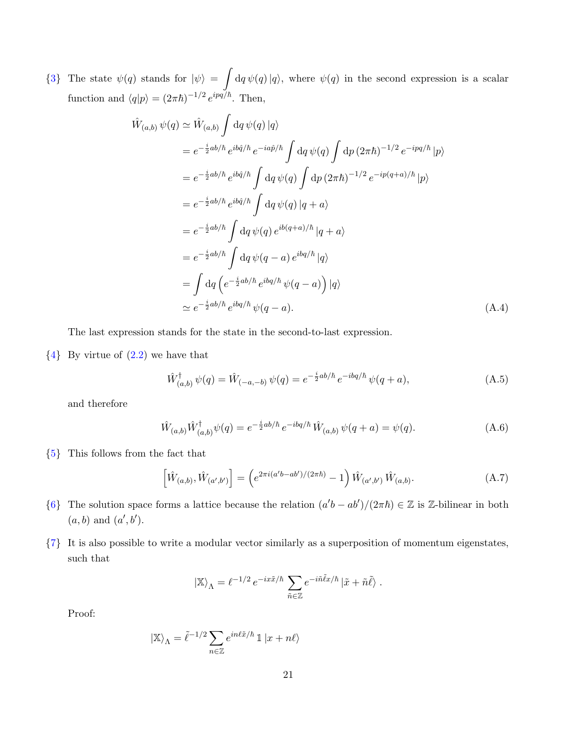<span id="page-21-0"></span>{[3](#page-5-1)} The state  $\psi(q)$  stands for  $|\psi\rangle = \int dq \psi(q) |q\rangle$ , where  $\psi(q)$  in the second expression is a scalar function and  $\langle q|p\rangle = (2\pi\hbar)^{-1/2} e^{ipq/\hbar}$ . Then,

$$
\hat{W}_{(a,b)} \psi(q) \simeq \hat{W}_{(a,b)} \int dq \psi(q) |q\rangle
$$
\n
$$
= e^{-\frac{i}{2}ab/\hbar} e^{ib\hat{q}/\hbar} e^{-ia\hat{p}/\hbar} \int dq \psi(q) \int dp (2\pi\hbar)^{-1/2} e^{-ipq/\hbar} |p\rangle
$$
\n
$$
= e^{-\frac{i}{2}ab/\hbar} e^{ib\hat{q}/\hbar} \int dq \psi(q) \int dp (2\pi\hbar)^{-1/2} e^{-ip(q+a)/\hbar} |p\rangle
$$
\n
$$
= e^{-\frac{i}{2}ab/\hbar} e^{ib\hat{q}/\hbar} \int dq \psi(q) |q+a\rangle
$$
\n
$$
= e^{-\frac{i}{2}ab/\hbar} \int dq \psi(q) e^{ib(q+a)/\hbar} |q+a\rangle
$$
\n
$$
= e^{-\frac{i}{2}ab/\hbar} \int dq \psi(q-a) e^{ibq/\hbar} |q\rangle
$$
\n
$$
= \int dq \left( e^{-\frac{i}{2}ab/\hbar} e^{ibq/\hbar} \psi(q-a) \right) |q\rangle
$$
\n
$$
\simeq e^{-\frac{i}{2}ab/\hbar} e^{ibq/\hbar} \psi(q-a). \tag{A.4}
$$

The last expression stands for the state in the second-to-last expression.

<span id="page-21-1"></span> ${4}$  ${4}$  ${4}$  By virtue of  $(2.2)$  we have that

$$
\hat{W}_{(a,b)}^{\dagger} \psi(q) = \hat{W}_{(-a,-b)} \psi(q) = e^{-\frac{i}{2}ab/\hbar} e^{-ibq/\hbar} \psi(q+a), \tag{A.5}
$$

and therefore

$$
\hat{W}_{(a,b)}\hat{W}_{(a,b)}^{\dagger}\psi(q) = e^{-\frac{i}{2}ab/\hbar}e^{-ibq/\hbar}\hat{W}_{(a,b)}\psi(q+a) = \psi(q). \tag{A.6}
$$

<span id="page-21-2"></span>{[5](#page-5-3)} This follows from the fact that

$$
\left[\hat{W}_{(a,b)}, \hat{W}_{(a',b')}\right] = \left(e^{2\pi i(a'b - ab')/(2\pi\hbar)} - 1\right)\hat{W}_{(a',b')} \hat{W}_{(a,b)}.
$$
\n(A.7)

- <span id="page-21-3"></span>{[6](#page-6-3)} The solution space forms a lattice because the relation  $(a'b - ab')/(2\pi\hbar) \in \mathbb{Z}$  is  $\mathbb{Z}$ -bilinear in both  $(a, b)$  and  $(a', b')$ .
- <span id="page-21-4"></span>{[7](#page-6-4)} It is also possible to write a modular vector similarly as a superposition of momentum eigenstates, such that

$$
\left| \mathbb{X} \right\rangle _{\Lambda} = \ell^{-1/2} \, e^{- i x \tilde{x}/\hbar} \, \sum_{\tilde{n} \in \mathbb{Z}} e^{- i \tilde{n} \tilde{\ell} x/\hbar} \left| \tilde{x} + \tilde{n} \tilde{\ell} \right\rangle \, .
$$

Proof:

$$
\left| \mathbb{X} \right>_\Lambda = \tilde{\ell}^{-1/2} \sum_{n \in \mathbb{Z}} e^{i n \ell \tilde{x} / \hbar} \, \mathbbm{1} \left| x + n \ell \right>
$$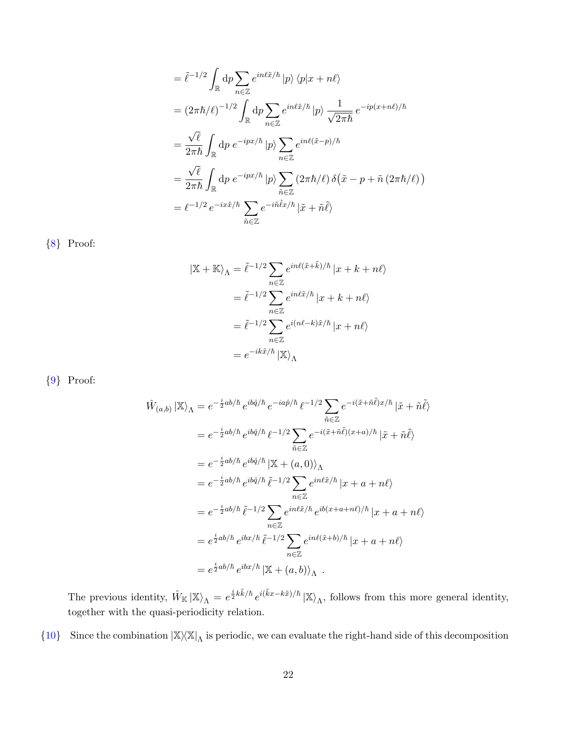$$
= \tilde{\ell}^{-1/2} \int_{\mathbb{R}} dp \sum_{n \in \mathbb{Z}} e^{in\ell \tilde{x}/\hbar} |p\rangle \langle p|x + n\ell \rangle
$$
  
\n
$$
= (2\pi \hbar/\ell)^{-1/2} \int_{\mathbb{R}} dp \sum_{n \in \mathbb{Z}} e^{in\ell \tilde{x}/\hbar} |p\rangle \frac{1}{\sqrt{2\pi \hbar}} e^{-ip(x + n\ell)/\hbar}
$$
  
\n
$$
= \frac{\sqrt{\ell}}{2\pi \hbar} \int_{\mathbb{R}} dp e^{-ipx/\hbar} |p\rangle \sum_{n \in \mathbb{Z}} e^{in\ell(\tilde{x} - p)/\hbar}
$$
  
\n
$$
= \frac{\sqrt{\ell}}{2\pi \hbar} \int_{\mathbb{R}} dp e^{-ipx/\hbar} |p\rangle \sum_{\tilde{n} \in \mathbb{Z}} (2\pi \hbar/\ell) \delta(\tilde{x} - p + \tilde{n} (2\pi \hbar/\ell))
$$
  
\n
$$
= \ell^{-1/2} e^{-ix\tilde{x}/\hbar} \sum_{\tilde{n} \in \mathbb{Z}} e^{-i\tilde{n}\tilde{\ell}x/\hbar} |\tilde{x} + \tilde{n}\tilde{\ell}\rangle
$$

<span id="page-22-0"></span>{[8](#page-6-5)} Proof:

$$
|\mathbb{X} + \mathbb{K}\rangle_{\Lambda} = \tilde{\ell}^{-1/2} \sum_{n \in \mathbb{Z}} e^{in\ell(\tilde{x} + \tilde{k})/\hbar} |x + k + n\ell\rangle
$$

$$
= \tilde{\ell}^{-1/2} \sum_{n \in \mathbb{Z}} e^{in\ell\tilde{x}/\hbar} |x + k + n\ell\rangle
$$

$$
= \tilde{\ell}^{-1/2} \sum_{n \in \mathbb{Z}} e^{i(n\ell - k)\tilde{x}/\hbar} |x + n\ell\rangle
$$

$$
= e^{-ik\tilde{x}/\hbar} |\mathbb{X}\rangle_{\Lambda}
$$

<span id="page-22-1"></span>{[9](#page-7-3)} Proof:

$$
\hat{W}_{(a,b)} | \mathbb{X} \rangle_{\Lambda} = e^{-\frac{i}{2}ab/\hbar} e^{ib\hat{q}/\hbar} e^{-ia\hat{p}/\hbar} \ell^{-1/2} \sum_{\tilde{n} \in \mathbb{Z}} e^{-i(\tilde{x} + \tilde{n}\tilde{\ell})x/\hbar} |\tilde{x} + \tilde{n}\tilde{\ell} \rangle
$$
\n
$$
= e^{-\frac{i}{2}ab/\hbar} e^{ib\hat{q}/\hbar} \ell^{-1/2} \sum_{\tilde{n} \in \mathbb{Z}} e^{-i(\tilde{x} + \tilde{n}\tilde{\ell})(x + a)/\hbar} |\tilde{x} + \tilde{n}\tilde{\ell} \rangle
$$
\n
$$
= e^{-\frac{i}{2}ab/\hbar} e^{ib\hat{q}/\hbar} |\mathbb{X} + (a, 0) \rangle_{\Lambda}
$$
\n
$$
= e^{-\frac{i}{2}ab/\hbar} e^{ib\hat{q}/\hbar} \tilde{\ell}^{-1/2} \sum_{n \in \mathbb{Z}} e^{in\ell\tilde{x}/\hbar} |x + a + n\ell \rangle
$$
\n
$$
= e^{-\frac{i}{2}ab/\hbar} \tilde{\ell}^{-1/2} \sum_{n \in \mathbb{Z}} e^{in\ell\tilde{x}/\hbar} e^{ib(x + a + n\ell)/\hbar} |x + a + n\ell \rangle
$$
\n
$$
= e^{\frac{i}{2}ab/\hbar} e^{ibx/\hbar} \tilde{\ell}^{-1/2} \sum_{n \in \mathbb{Z}} e^{in\ell(\tilde{x} + b)/\hbar} |x + a + n\ell \rangle
$$
\n
$$
= e^{\frac{i}{2}ab/\hbar} e^{ibx/\hbar} |\mathbb{X} + (a, b) \rangle_{\Lambda} .
$$

The previous identity,  $\hat{W}_{\mathbb{K}}|\mathbb{X}\rangle_{\Lambda} = e^{\frac{i}{2}k\tilde{k}/\hbar}e^{i(\tilde{k}x-k\tilde{x})/\hbar}|\mathbb{X}\rangle_{\Lambda}$ , follows from this more general identity, together with the quasi-periodicity relation.

<span id="page-22-2"></span>{[10](#page-7-4)} Since the combination  $|\mathbb{X} \times \mathbb{X}|$ <sub>A</sub> is periodic, we can evaluate the right-hand side of this decomposition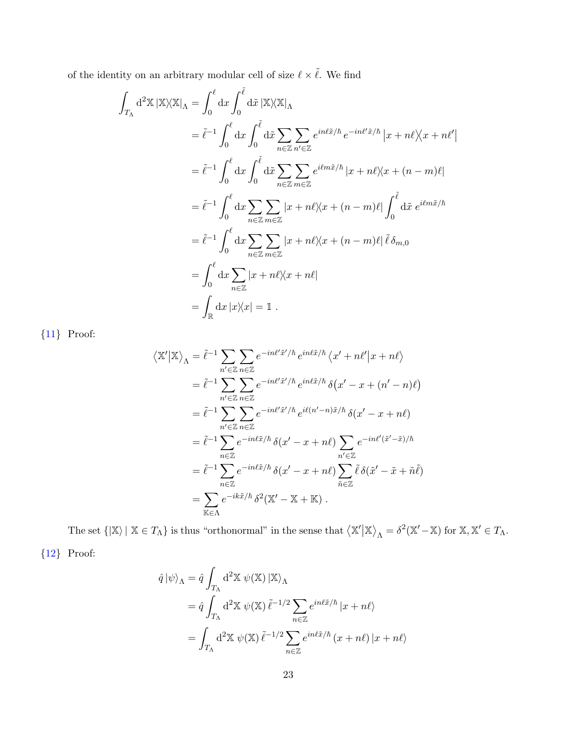of the identity on an arbitrary modular cell of size  $\ell \times \tilde{\ell}.$  We find

Z

$$
\int_{T_{\Lambda}} d^2 \mathbb{X} |\mathbb{X} \rangle \langle \mathbb{X} |_{\Lambda} = \int_0^{\ell} dx \int_0^{\tilde{\ell}} d\tilde{x} |\mathbb{X} \rangle \langle \mathbb{X} |_{\Lambda}
$$
  
\n
$$
= \tilde{\ell}^{-1} \int_0^{\ell} dx \int_0^{\tilde{\ell}} d\tilde{x} \sum_{n \in \mathbb{Z}} \sum_{n' \in \mathbb{Z}} e^{in\ell \tilde{x}/\hbar} e^{-in\ell' \tilde{x}/\hbar} |x + n\ell \rangle \langle x + n\ell' |
$$
  
\n
$$
= \tilde{\ell}^{-1} \int_0^{\ell} dx \int_0^{\tilde{\ell}} d\tilde{x} \sum_{n \in \mathbb{Z}} \sum_{m \in \mathbb{Z}} e^{i\ell m \tilde{x}/\hbar} |x + n\ell \rangle \langle x + (n - m)\ell |
$$
  
\n
$$
= \tilde{\ell}^{-1} \int_0^{\ell} dx \sum_{n \in \mathbb{Z}} \sum_{m \in \mathbb{Z}} |x + n\ell \rangle \langle x + (n - m)\ell | \int_0^{\tilde{\ell}} d\tilde{x} e^{i\ell m \tilde{x}/\hbar}
$$
  
\n
$$
= \tilde{\ell}^{-1} \int_0^{\ell} dx \sum_{n \in \mathbb{Z}} \sum_{m \in \mathbb{Z}} |x + n\ell \rangle \langle x + (n - m)\ell | \tilde{\ell} \delta_{m,0}
$$
  
\n
$$
= \int_0^{\ell} dx \sum_{n \in \mathbb{Z}} |x + n\ell \rangle \langle x + n\ell |
$$
  
\n
$$
= \int_{\mathbb{R}} dx |x| \rangle \langle x| = 1.
$$

<span id="page-23-0"></span>{[11](#page-7-5)} Proof:

$$
\langle \mathbb{X}' | \mathbb{X} \rangle_{\Lambda} = \tilde{\ell}^{-1} \sum_{n' \in \mathbb{Z}} \sum_{n \in \mathbb{Z}} e^{-in\ell' \tilde{x}'/\hbar} e^{in\ell \tilde{x}/\hbar} \langle x' + n\ell' | x + n\ell \rangle
$$
  
\n
$$
= \tilde{\ell}^{-1} \sum_{n' \in \mathbb{Z}} \sum_{n \in \mathbb{Z}} e^{-in\ell' \tilde{x}'/\hbar} e^{in\ell \tilde{x}/\hbar} \delta(x' - x + (n' - n)\ell)
$$
  
\n
$$
= \tilde{\ell}^{-1} \sum_{n' \in \mathbb{Z}} \sum_{n \in \mathbb{Z}} e^{-in\ell' \tilde{x}'/\hbar} e^{i\ell (n' - n)\tilde{x}/\hbar} \delta(x' - x + n\ell)
$$
  
\n
$$
= \tilde{\ell}^{-1} \sum_{n \in \mathbb{Z}} e^{-in\ell \tilde{x}/\hbar} \delta(x' - x + n\ell) \sum_{n' \in \mathbb{Z}} e^{-in\ell' (\tilde{x}' - \tilde{x})/\hbar}
$$
  
\n
$$
= \tilde{\ell}^{-1} \sum_{n \in \mathbb{Z}} e^{-in\ell \tilde{x}/\hbar} \delta(x' - x + n\ell) \sum_{\tilde{n} \in \mathbb{Z}} \tilde{\ell} \delta(\tilde{x}' - \tilde{x} + \tilde{n}\tilde{\ell})
$$
  
\n
$$
= \sum_{\mathbb{K} \in \Lambda} e^{-ik \tilde{x}/\hbar} \delta^2(\mathbb{X}' - \mathbb{X} + \mathbb{K}).
$$

The set  $\{|\mathbb{X}\rangle \mid \mathbb{X} \in T_{\Lambda}\}\$  is thus "orthonormal" in the sense that  $\langle \mathbb{X}' | \mathbb{X} \rangle_{\Lambda} = \delta^2(\mathbb{X}' - \mathbb{X})$  for  $\mathbb{X}, \mathbb{X}' \in T_{\Lambda}$ .

<span id="page-23-1"></span>{[12](#page-7-6)} Proof:

$$
\hat{q} |\psi\rangle_{\Lambda} = \hat{q} \int_{T_{\Lambda}} d^2 \mathbb{X} \psi(\mathbb{X}) |\mathbb{X}\rangle_{\Lambda}
$$
  
=  $\hat{q} \int_{T_{\Lambda}} d^2 \mathbb{X} \psi(\mathbb{X}) \tilde{\ell}^{-1/2} \sum_{n \in \mathbb{Z}} e^{in\ell \tilde{x}/\hbar} |x + n\ell\rangle$   
=  $\int_{T_{\Lambda}} d^2 \mathbb{X} \psi(\mathbb{X}) \tilde{\ell}^{-1/2} \sum_{n \in \mathbb{Z}} e^{in\ell \tilde{x}/\hbar} (x + n\ell) |x + n\ell\rangle$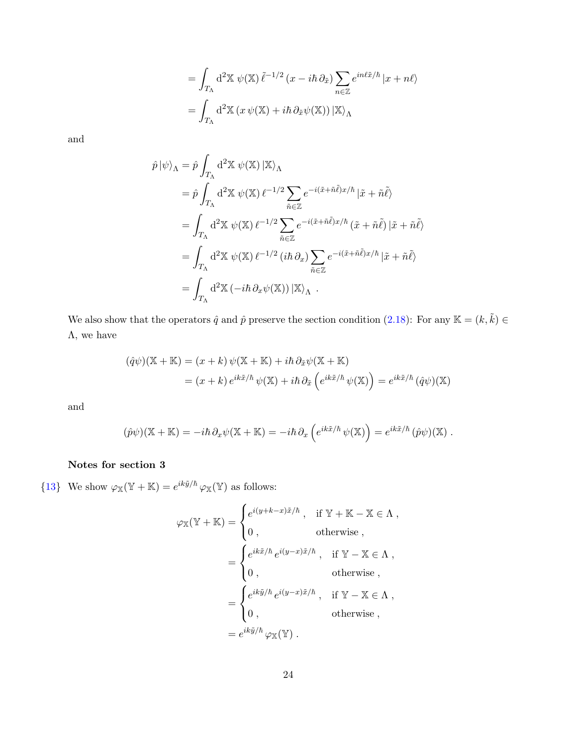$$
= \int_{T_{\Lambda}} d^2 \mathbb{X} \psi(\mathbb{X}) \tilde{\ell}^{-1/2} (x - i\hbar \partial_{\tilde{x}}) \sum_{n \in \mathbb{Z}} e^{in\ell \tilde{x}/\hbar} |x + n\ell \rangle
$$
  
= 
$$
\int_{T_{\Lambda}} d^2 \mathbb{X} (x \psi(\mathbb{X}) + i\hbar \partial_{\tilde{x}} \psi(\mathbb{X})) |\mathbb{X}\rangle_{\Lambda}
$$

and

$$
\hat{p} |\psi\rangle_{\Lambda} = \hat{p} \int_{T_{\Lambda}} d^2 \mathbb{X} \psi(\mathbb{X}) |\mathbb{X}\rangle_{\Lambda}
$$
\n
$$
= \hat{p} \int_{T_{\Lambda}} d^2 \mathbb{X} \psi(\mathbb{X}) \ell^{-1/2} \sum_{\tilde{n} \in \mathbb{Z}} e^{-i(\tilde{x} + \tilde{n}\tilde{\ell})x/\hbar} |\tilde{x} + \tilde{n}\tilde{\ell}\rangle
$$
\n
$$
= \int_{T_{\Lambda}} d^2 \mathbb{X} \psi(\mathbb{X}) \ell^{-1/2} \sum_{\tilde{n} \in \mathbb{Z}} e^{-i(\tilde{x} + \tilde{n}\tilde{\ell})x/\hbar} (\tilde{x} + \tilde{n}\tilde{\ell}) |\tilde{x} + \tilde{n}\tilde{\ell}\rangle
$$
\n
$$
= \int_{T_{\Lambda}} d^2 \mathbb{X} \psi(\mathbb{X}) \ell^{-1/2} (i\hbar \partial_x) \sum_{\tilde{n} \in \mathbb{Z}} e^{-i(\tilde{x} + \tilde{n}\tilde{\ell})x/\hbar} |\tilde{x} + \tilde{n}\tilde{\ell}\rangle
$$
\n
$$
= \int_{T_{\Lambda}} d^2 \mathbb{X} (-i\hbar \partial_x \psi(\mathbb{X})) |\mathbb{X}\rangle_{\Lambda} .
$$

We also show that the operators  $\hat{q}$  and  $\hat{p}$  preserve the section condition [\(2.18\)](#page-7-1): For any K =  $(k, \tilde{k}) \in$  $\Lambda$ , we have

$$
(\hat{q}\psi)(\mathbb{X} + \mathbb{K}) = (x + k)\psi(\mathbb{X} + \mathbb{K}) + i\hbar \partial_{\tilde{x}}\psi(\mathbb{X} + \mathbb{K})
$$
  
=  $(x + k) e^{ik\tilde{x}/\hbar} \psi(\mathbb{X}) + i\hbar \partial_{\tilde{x}} \left(e^{ik\tilde{x}/\hbar} \psi(\mathbb{X})\right) = e^{ik\tilde{x}/\hbar} (\hat{q}\psi)(\mathbb{X})$ 

and

$$
(\hat{p}\psi)(\mathbb{X} + \mathbb{K}) = -i\hbar \partial_x \psi(\mathbb{X} + \mathbb{K}) = -i\hbar \partial_x \left( e^{ik\tilde{x}/\hbar} \psi(\mathbb{X}) \right) = e^{ik\tilde{x}/\hbar} (\hat{p}\psi)(\mathbb{X}).
$$

# Notes for section 3

<span id="page-24-0"></span>{[13](#page-9-2)} We show  $\varphi_{\mathbb{X}}(\mathbb{Y} + \mathbb{K}) = e^{ik\tilde{y}/\hbar} \varphi_{\mathbb{X}}(\mathbb{Y})$  as follows:

$$
\varphi_{\mathbb{X}}(\mathbb{Y} + \mathbb{K}) = \begin{cases} e^{i(y+k-x)\tilde{x}/\hbar}, & \text{if } \mathbb{Y} + \mathbb{K} - \mathbb{X} \in \Lambda, \\ 0, & \text{otherwise} \end{cases}
$$
  
= 
$$
\begin{cases} e^{ik\tilde{x}/\hbar} e^{i(y-x)\tilde{x}/\hbar}, & \text{if } \mathbb{Y} - \mathbb{X} \in \Lambda, \\ 0, & \text{otherwise} \end{cases}
$$
  
= 
$$
\begin{cases} e^{ik\tilde{y}/\hbar} e^{i(y-x)\tilde{x}/\hbar}, & \text{if } \mathbb{Y} - \mathbb{X} \in \Lambda, \\ 0, & \text{otherwise} \end{cases}
$$
  
= 
$$
e^{ik\tilde{y}/\hbar} \varphi_{\mathbb{X}}(\mathbb{Y}).
$$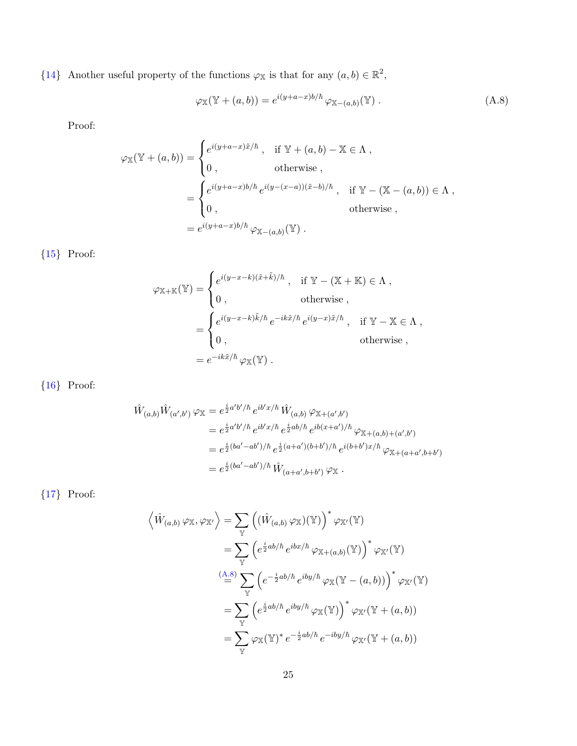<span id="page-25-0"></span>{[14](#page-9-3)} Another useful property of the functions  $\varphi_{\mathbb{X}}$  is that for any  $(a, b) \in \mathbb{R}^2$ ,

<span id="page-25-4"></span>
$$
\varphi_{\mathbb{X}}(\mathbb{Y} + (a, b)) = e^{i(y+a-x)b/\hbar} \varphi_{\mathbb{X} - (a,b)}(\mathbb{Y}) . \tag{A.8}
$$

Proof:

$$
\varphi_{\mathbb{X}}(\mathbb{Y} + (a, b)) = \begin{cases} e^{i(y+a-x)\tilde{x}/\hbar} , & \text{if } \mathbb{Y} + (a, b) - \mathbb{X} \in \Lambda , \\ 0 , & \text{otherwise} , \end{cases}
$$
  
= 
$$
\begin{cases} e^{i(y+a-x)b/\hbar} e^{i(y-(x-a))(\tilde{x}-b)/\hbar} , & \text{if } \mathbb{Y} - (\mathbb{X} - (a, b)) \in \Lambda , \\ 0 , & \text{otherwise} , \end{cases}
$$
  
= 
$$
e^{i(y+a-x)b/\hbar} \varphi_{\mathbb{X} - (a,b)}(\mathbb{Y}) .
$$

<span id="page-25-1"></span> ${15}$  ${15}$  ${15}$  Proof:

$$
\varphi_{\mathbb{X} + \mathbb{K}}(\mathbb{Y}) = \begin{cases} e^{i(y-x-k)(\tilde{x} + \tilde{k})/\hbar}, & \text{if } \mathbb{Y} - (\mathbb{X} + \mathbb{K}) \in \Lambda, \\ 0, & \text{otherwise} \end{cases}
$$
  
= 
$$
\begin{cases} e^{i(y-x-k)\tilde{k}/\hbar} e^{-ik\tilde{x}/\hbar} e^{i(y-x)\tilde{x}/\hbar}, & \text{if } \mathbb{Y} - \mathbb{X} \in \Lambda, \\ 0, & \text{otherwise} \end{cases}
$$
  
= 
$$
e^{-ik\tilde{x}/\hbar} \varphi_{\mathbb{X}}(\mathbb{Y}).
$$

<span id="page-25-2"></span>{[16](#page-10-4)} Proof:

$$
\hat{W}_{(a,b)}\hat{W}_{(a',b')} \varphi_{\mathbb{X}} = e^{\frac{i}{2}a'b'/\hbar} e^{ib'x/\hbar} \hat{W}_{(a,b)} \varphi_{\mathbb{X}+(a',b')}
$$
\n
$$
= e^{\frac{i}{2}a'b'/\hbar} e^{ib'x/\hbar} e^{\frac{i}{2}ab/\hbar} e^{ib(x+a')/\hbar} \varphi_{\mathbb{X}+(a,b)+(a',b')}
$$
\n
$$
= e^{\frac{i}{2}(ba'-ab')/\hbar} e^{\frac{i}{2}(a+a')(b+b')/\hbar} e^{i(b+b')x/\hbar} \varphi_{\mathbb{X}+(a+a',b+b')}
$$
\n
$$
= e^{\frac{i}{2}(ba'-ab')/\hbar} \hat{W}_{(a+a',b+b')} \varphi_{\mathbb{X}}.
$$

<span id="page-25-3"></span>{[17](#page-10-5)} Proof:

$$
\langle \hat{W}_{(a,b)} \varphi_{\mathbb{X}}, \varphi_{\mathbb{X}'} \rangle = \sum_{\mathbb{Y}} \left( (\hat{W}_{(a,b)} \varphi_{\mathbb{X}})(\mathbb{Y}) \right)^* \varphi_{\mathbb{X}'}(\mathbb{Y})
$$
  
\n
$$
= \sum_{\mathbb{Y}} \left( e^{\frac{i}{2}ab/\hbar} e^{ibx/\hbar} \varphi_{\mathbb{X}+(a,b)}(\mathbb{Y}) \right)^* \varphi_{\mathbb{X}'}(\mathbb{Y})
$$
  
\n
$$
\stackrel{(A.8)}{=} \sum_{\mathbb{Y}} \left( e^{-\frac{i}{2}ab/\hbar} e^{iby/\hbar} \varphi_{\mathbb{X}}(\mathbb{Y} - (a, b)) \right)^* \varphi_{\mathbb{X}'}(\mathbb{Y})
$$
  
\n
$$
= \sum_{\mathbb{Y}} \left( e^{\frac{i}{2}ab/\hbar} e^{iby/\hbar} \varphi_{\mathbb{X}}(\mathbb{Y}) \right)^* \varphi_{\mathbb{X}'}(\mathbb{Y} + (a, b))
$$
  
\n
$$
= \sum_{\mathbb{Y}} \varphi_{\mathbb{X}}(\mathbb{Y})^* e^{-\frac{i}{2}ab/\hbar} e^{-iby/\hbar} \varphi_{\mathbb{X}'}(\mathbb{Y} + (a, b))
$$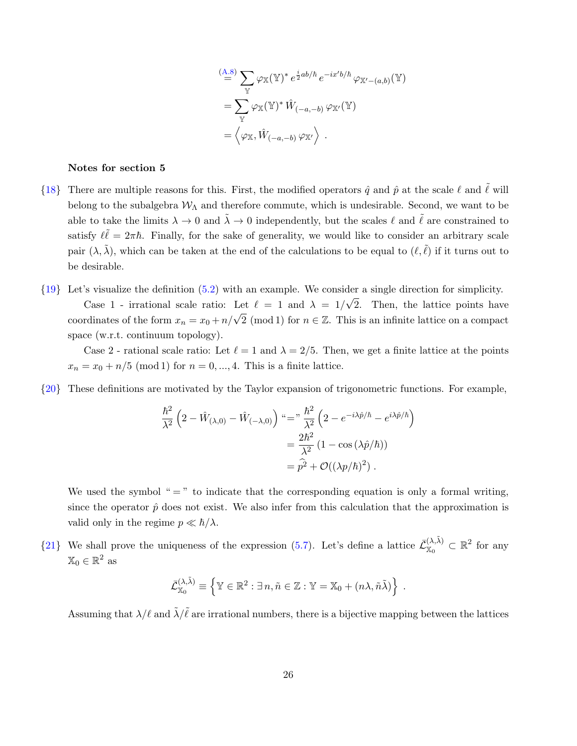$$
\begin{split} &\stackrel{(A.8)}{=} \sum_{\mathbb{Y}} \varphi_{\mathbb{X}}(\mathbb{Y})^* e^{\frac{i}{2}ab/\hbar} e^{-ix'b/\hbar} \varphi_{\mathbb{X}'-(a,b)}(\mathbb{Y}) \\ &= \sum_{\mathbb{Y}} \varphi_{\mathbb{X}}(\mathbb{Y})^* \hat{W}_{(-a,-b)} \varphi_{\mathbb{X}'}(\mathbb{Y}) \\ &= \left\langle \varphi_{\mathbb{X}}, \hat{W}_{(-a,-b)} \varphi_{\mathbb{X}'} \right\rangle . \end{split}
$$

#### Notes for section 5

- <span id="page-26-0"></span>{[18](#page-12-1)} There are multiple reasons for this. First, the modified operators  $\hat{q}$  and  $\hat{p}$  at the scale  $\ell$  and  $\tilde{\ell}$  will belong to the subalgebra  $W_{\Lambda}$  and therefore commute, which is undesirable. Second, we want to be able to take the limits  $\lambda \to 0$  and  $\tilde{\lambda} \to 0$  independently, but the scales  $\ell$  and  $\tilde{\ell}$  are constrained to satisfy  $\ell \ell = 2\pi \hbar$ . Finally, for the sake of generality, we would like to consider an arbitrary scale pair  $(\lambda, \tilde{\lambda})$ , which can be taken at the end of the calculations to be equal to  $(\ell, \tilde{\ell})$  if it turns out to be desirable.
- <span id="page-26-1"></span>{[19](#page-12-2)} Let's visualize the definition [\(5.2\)](#page-12-3) with an example. We consider a single direction for simplicity. Case 1 - irrational scale ratio: Let  $\ell = 1$  and  $\lambda = 1/2$ √ 2. Then, the lattice points have coordinates of the form  $x_n = x_0 + n/\sqrt{2} \pmod{1}$  for  $n \in \mathbb{Z}$ . This is an infinite lattice on a compact space (w.r.t. continuum topology).

Case 2 - rational scale ratio: Let  $\ell = 1$  and  $\lambda = 2/5$ . Then, we get a finite lattice at the points  $x_n = x_0 + n/5 \pmod{1}$  for  $n = 0, ..., 4$ . This is a finite lattice.

<span id="page-26-2"></span>{[20](#page-13-2)} These definitions are motivated by the Taylor expansion of trigonometric functions. For example,

$$
\frac{\hbar^2}{\lambda^2} \left( 2 - \hat{W}_{(\lambda,0)} - \hat{W}_{(-\lambda,0)} \right) \stackrel{\omega}{=} \frac{\hbar^2}{\lambda^2} \left( 2 - e^{-i\lambda \hat{p}/\hbar} - e^{i\lambda \hat{p}/\hbar} \right)
$$

$$
= \frac{2\hbar^2}{\lambda^2} \left( 1 - \cos(\lambda \hat{p}/\hbar) \right)
$$

$$
= \hat{p^2} + \mathcal{O}((\lambda p/\hbar)^2) .
$$

We used the symbol "  $=$  " to indicate that the corresponding equation is only a formal writing, since the operator  $\hat{p}$  does not exist. We also infer from this calculation that the approximation is valid only in the regime  $p \ll \hbar/\lambda$ .

<span id="page-26-3"></span> $\{21\}$  $\{21\}$  $\{21\}$  We shall prove the uniqueness of the expression [\(5.7\)](#page-14-5). Let's define a lattice  $\bar{\mathcal{L}}_{\mathbb{X}_{\alpha}}^{(\lambda,\tilde{\lambda})}$  $\mathbb{X}_0^{(\lambda,\lambda)} \subset \mathbb{R}^2$  for any  $\mathbb{X}_0 \in \mathbb{R}^2$  as

$$
\bar{\mathcal{L}}_{\mathbb{X}_0}^{(\lambda,\tilde{\lambda})} \equiv \left\{ \mathbb{Y} \in \mathbb{R}^2 : \exists n, \tilde{n} \in \mathbb{Z} : \mathbb{Y} = \mathbb{X}_0 + (n\lambda, \tilde{n}\tilde{\lambda}) \right\} .
$$

Assuming that  $\lambda/\ell$  and  $\tilde{\lambda}/\tilde{\ell}$  are irrational numbers, there is a bijective mapping between the lattices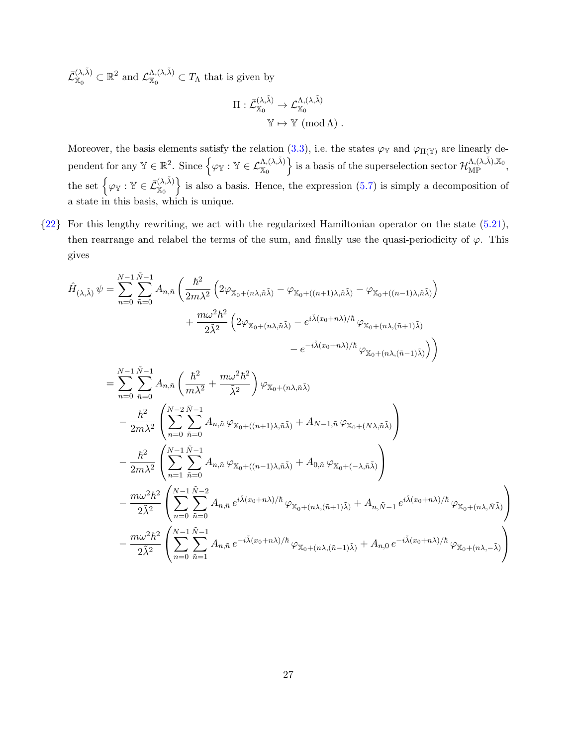$\bar{\mathcal{L}}_{\mathbb{X}_0}^{(\lambda,\tilde\lambda)}$  $\mathcal{L}_{\mathbb{X}_0}^{(\lambda,\tilde{\lambda})} \subset \mathbb{R}^2$  and  $\mathcal{L}_{\mathbb{X}_0}^{\Lambda,(\lambda,\tilde{\lambda})}$  $X_0^{(\lambda,\lambda)} \subset T_\Lambda$  that is given by

$$
\begin{aligned} \Pi: \bar{\mathcal{L}}_{\mathbb{X}_0}^{(\lambda, \tilde{\lambda})} &\to \mathcal{L}_{\mathbb{X}_0}^{\Lambda, (\lambda, \tilde{\lambda})} \\ &\mathbb{Y} &\mapsto \mathbb{Y} \pmod{\Lambda}\ . \end{aligned}
$$

Moreover, the basis elements satisfy the relation [\(3.3\)](#page-10-1), i.e. the states  $\varphi_{\mathbb{Y}}$  and  $\varphi_{\Pi(\mathbb{Y})}$  are linearly de- $\text{pendent for any }\mathbb{Y}\in\mathbb{R}^2. \text{ Since } \Big\{\varphi_{\mathbb{Y}}: \mathbb{Y}\in\mathcal{L}^{\Lambda, (\lambda,\tilde\lambda)}_{\mathbb{X}_0} \Big\} \text{ is a basis of the superselectron sector } \mathcal{H}^{\Lambda, (\lambda,\tilde\lambda),\mathbb{X}_0}_{\text{MP}},$ the set  $\big\{\varphi_{\mathbb{Y}} : \mathbb{Y} \in \overline{\mathcal{L}}_{\mathbb{X}_{\alpha}}^{(\lambda,\tilde{\lambda})}\big\}$  $\begin{Bmatrix}\n\langle \lambda, \lambda \rangle \\
\chi_0\n\end{Bmatrix}$  is also a basis. Hence, the expression [\(5.7\)](#page-14-5) is simply a decomposition of a state in this basis, which is unique.

<span id="page-27-0"></span>{[22](#page-16-3)} For this lengthy rewriting, we act with the regularized Hamiltonian operator on the state [\(5.21\)](#page-16-1), then rearrange and relabel the terms of the sum, and finally use the quasi-periodicity of  $\varphi$ . This gives

$$
\hat{H}_{(\lambda,\tilde{\lambda})} \psi = \sum_{n=0}^{N-1} \sum_{\tilde{n}=0}^{\tilde{N}-1} A_{n,\tilde{n}} \left( \frac{\hbar^2}{2m\lambda^2} \left( 2\varphi_{\chi_0+(n\lambda,\tilde{n}\tilde{\lambda})} - \varphi_{\chi_0+(n+1)\lambda,\tilde{n}\tilde{\lambda}} - \varphi_{\chi_0+(n-1)\lambda,\tilde{n}\tilde{\lambda}} \right) \right) \n+ \frac{m\omega^2 \hbar^2}{2\tilde{\lambda}^2} \left( 2\varphi_{\chi_0+(n\lambda,\tilde{n}\tilde{\lambda})} - e^{i\tilde{\lambda}(x_0+n\lambda)/\hbar} \varphi_{\chi_0+(n\lambda,(\tilde{n}+1)\tilde{\lambda})} \right) \n- e^{-i\tilde{\lambda}(x_0+n\lambda)/\hbar} \varphi_{\chi_0+(n\lambda,(\tilde{n}-1)\tilde{\lambda})} \right) \n= \sum_{n=0}^{N-1} \sum_{\tilde{n}=0}^{\tilde{N}-1} A_{n,\tilde{n}} \left( \frac{\hbar^2}{m\lambda^2} + \frac{m\omega^2 \hbar^2}{\tilde{\lambda}^2} \right) \varphi_{\chi_0+(n\lambda,\tilde{n}\tilde{\lambda})} \n- \frac{\hbar^2}{2m\lambda^2} \left( \sum_{n=0}^{N-2} \sum_{\tilde{n}=0}^{\tilde{N}-1} A_{n,\tilde{n}} \varphi_{\chi_0+(n+1)\lambda,\tilde{n}\tilde{\lambda}} + A_{N-1,\tilde{n}} \varphi_{\chi_0+(N\lambda,\tilde{n}\tilde{\lambda})} \right) \n- \frac{\hbar^2}{2m\lambda^2} \left( \sum_{n=1}^{N-1} \sum_{\tilde{n}=0}^{\tilde{N}-1} A_{n,\tilde{n}} \varphi_{\chi_0+(n-1)\lambda,\tilde{n}\tilde{\lambda}} + A_{0,\tilde{n}} \varphi_{\chi_0+(-\lambda,\tilde{n}\tilde{\lambda})} \right) \n- \frac{m\omega^2 \hbar^2}{2\tilde{\lambda}^2} \left( \sum_{n=0}^{N-1} \sum_{\tilde{n}=0}^{\tilde{N}-1} A_{n,\tilde{n}} e^{i\tilde{\lambda}(x_0+n\
$$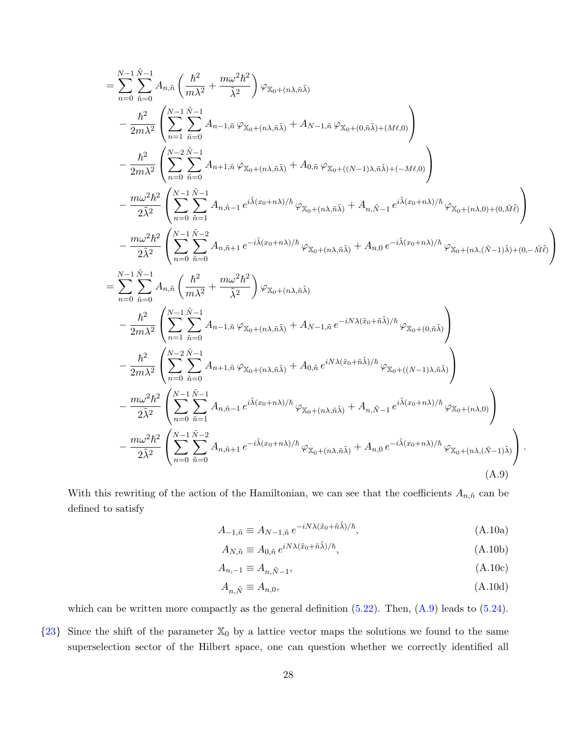$$
\begin{split} & \sum_{n=0}^{N-1} \sum_{\tilde{n}=0}^{\tilde{N}-1} A_{n,\tilde{n}} \left( \frac{\hbar^2}{m\lambda^2} + \frac{m\omega^2\hbar^2}{\tilde{\lambda}^2} \right) \varphi_{\mathbf{X}_0 + (n\lambda,\tilde{n}\tilde{\lambda})} \\ & - \frac{\hbar^2}{2m\lambda^2} \left( \sum_{n=1}^{N-1} \sum_{\tilde{n}=0}^{\tilde{N}-1} A_{n-1,\tilde{n}} \varphi_{\mathbf{X}_0 + (n\lambda,\tilde{n}\tilde{\lambda})} + A_{N-1,\tilde{n}} \varphi_{\mathbf{X}_0 + (0,\tilde{n}\tilde{\lambda}) + (M\ell,0)} \right) \\ & - \frac{\hbar^2}{2m\lambda^2} \left( \sum_{n=0}^{N-1} \sum_{\tilde{n}=0}^{\tilde{N}-1} A_{n+1,\tilde{n}} \varphi_{\mathbf{X}_0 + (n\lambda,\tilde{n}\tilde{\lambda})} + A_{0,\tilde{n}} \varphi_{\mathbf{X}_0 + ((N-1)\lambda,\tilde{n}\tilde{\lambda}) + (-M\ell,0)} \right) \\ & - \frac{m\omega^2\hbar^2}{2\tilde{\lambda}^2} \left( \sum_{n=0}^{N-1} \sum_{\tilde{n}=1}^{\tilde{N}-1} A_{n,\tilde{n}-1} e^{i\tilde{\lambda}(x_0+n\lambda)/\hbar} \varphi_{\mathbf{X}_0 + (n\lambda,\tilde{n}\tilde{\lambda})} + A_{n,\tilde{N}-1} e^{i\tilde{\lambda}(x_0+n\lambda)/\hbar} \varphi_{\mathbf{X}_0 + (n\lambda,0) + (0,\tilde{M}\tilde{\ell})} \right) \\ & - \frac{m\omega^2\hbar^2}{2\tilde{\lambda}^2} \left( \sum_{n=0}^{N-1} \sum_{\tilde{n}=0}^{\tilde{N}-1} A_{n,\tilde{n}+1} e^{-i\tilde{\lambda}(x_0+n\lambda)/\hbar} \varphi_{\mathbf{X}_0 + (n\lambda,\tilde{n}\tilde{\lambda})} + A_{n,0} e^{-i\tilde{\lambda}(x_0+n\lambda)/\hbar} \varphi_{\mathbf{X}_0 + (n\lambda,0) + (0,\tilde{M}\tilde{\ell})} \right) \\ &
$$

With this rewriting of the action of the Hamiltonian, we can see that the coefficients  $A_{n,\tilde{n}}$  can be defined to satisfy

<span id="page-28-1"></span>
$$
A_{-1,\tilde{n}} \equiv A_{N-1,\tilde{n}} \, e^{-iN\lambda(\tilde{x}_0 + \tilde{n}\tilde{\lambda})/\hbar},\tag{A.10a}
$$

$$
A_{N,\tilde{n}} \equiv A_{0,\tilde{n}} \, e^{iN\lambda(\tilde{x}_0 + \tilde{n}\tilde{\lambda})/\hbar},\tag{A.10b}
$$

$$
A_{n,-1} \equiv A_{n,\tilde{N}-1},\tag{A.10c}
$$

$$
A_{n,\tilde{N}} \equiv A_{n,0},\tag{A.10d}
$$

which can be written more compactly as the general definition  $(5.22)$ . Then,  $(A.9)$  leads to  $(5.24)$ .

<span id="page-28-0"></span> ${23}$  ${23}$  ${23}$  Since the shift of the parameter  $\mathbb{X}_0$  by a lattice vector maps the solutions we found to the same superselection sector of the Hilbert space, one can question whether we correctly identified all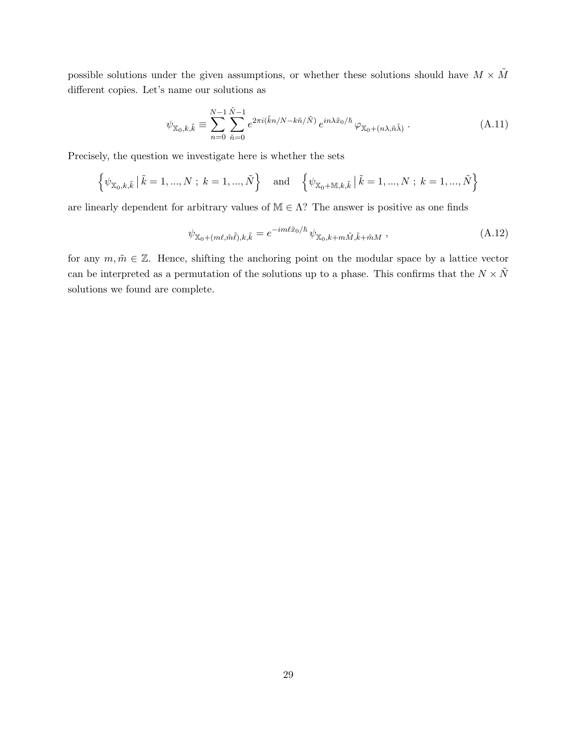possible solutions under the given assumptions, or whether these solutions should have  $M \times \tilde{M}$ different copies. Let's name our solutions as

$$
\psi_{\mathbb{X}_0,k,\tilde{k}} \equiv \sum_{n=0}^{N-1} \sum_{\tilde{n}=0}^{\tilde{N}-1} e^{2\pi i (\tilde{k}n/N - k\tilde{n}/\tilde{N})} e^{in\lambda \tilde{x}_0/\hbar} \varphi_{\mathbb{X}_0 + (n\lambda, \tilde{n}\tilde{\lambda})}.
$$
\n(A.11)

Precisely, the question we investigate here is whether the sets

$$
\left\{\psi_{\mathbb{X}_0,k,\tilde{k}} \mid \tilde{k} = 1, ..., N; k = 1, ..., \tilde{N}\right\} \text{ and } \left\{\psi_{\mathbb{X}_0 + \mathbb{M}, k, \tilde{k}} \mid \tilde{k} = 1, ..., N; k = 1, ..., \tilde{N}\right\}
$$

are linearly dependent for arbitrary values of  $M \in \Lambda$ ? The answer is positive as one finds

$$
\psi_{\mathbb{X}_0 + (m\ell, \tilde{m}\tilde{\ell}), k, \tilde{k}} = e^{-im\ell \tilde{x}_0/\hbar} \psi_{\mathbb{X}_0, k+m\tilde{M}, \tilde{k}+\tilde{m}M}, \qquad (A.12)
$$

for any  $m, \tilde{m} \in \mathbb{Z}$ . Hence, shifting the anchoring point on the modular space by a lattice vector can be interpreted as a permutation of the solutions up to a phase. This confirms that the  $N \times \tilde{N}$ solutions we found are complete.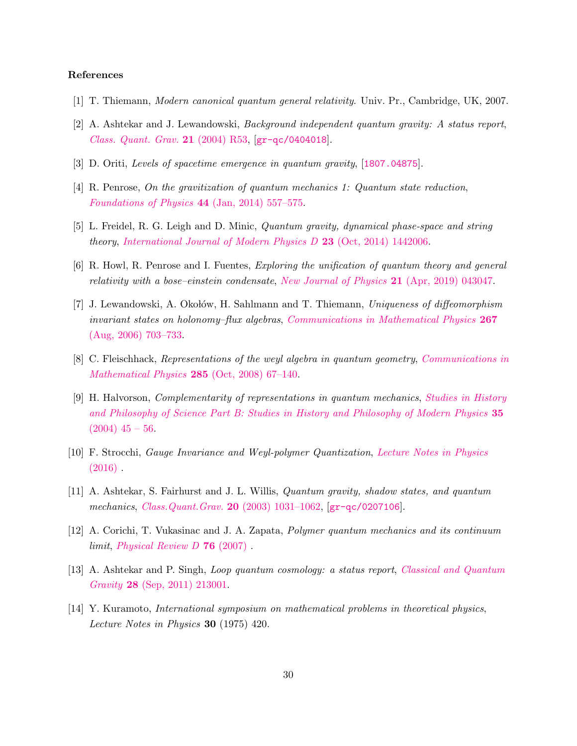# References

- <span id="page-30-0"></span>[1] T. Thiemann, Modern canonical quantum general relativity. Univ. Pr., Cambridge, UK, 2007.
- [2] A. Ashtekar and J. Lewandowski, Background independent quantum gravity: A status report, [Class. Quant. Grav.](http://dx.doi.org/10.1088/0264-9381/21/15/R01) 21 (2004) R53, [[gr-qc/0404018](https://arxiv.org/abs/gr-qc/0404018)].
- <span id="page-30-1"></span>[3] D. Oriti, Levels of spacetime emergence in quantum gravity, [[1807.04875](https://arxiv.org/abs/1807.04875)].
- <span id="page-30-2"></span>[4] R. Penrose, On the gravitization of quantum mechanics 1: Quantum state reduction, [Foundations of Physics](http://dx.doi.org/10.1007/s10701-013-9770-0) 44 (Jan, 2014) 557–575.
- [5] L. Freidel, R. G. Leigh and D. Minic, Quantum gravity, dynamical phase-space and string theory, International Journal of Modern Physics  $D$  23 (Oct, 2014) 1442006.
- <span id="page-30-3"></span>[6] R. Howl, R. Penrose and I. Fuentes, Exploring the unification of quantum theory and general relativity with a bose–einstein condensate, [New Journal of Physics](http://dx.doi.org/10.1088/1367-2630/ab104a) 21 (Apr, 2019) 043047.
- <span id="page-30-4"></span>[7] J. Lewandowski, A. Okołów, H. Sahlmann and T. Thiemann, Uniqueness of diffeomorphism invariant states on holonomy–flux algebras, [Communications in Mathematical Physics](http://dx.doi.org/10.1007/s00220-006-0100-7) 267 [\(Aug, 2006\) 703–733.](http://dx.doi.org/10.1007/s00220-006-0100-7)
- <span id="page-30-5"></span>[8] C. Fleischhack, Representations of the weyl algebra in quantum geometry, [Communications in](http://dx.doi.org/10.1007/s00220-008-0593-3) [Mathematical Physics](http://dx.doi.org/10.1007/s00220-008-0593-3) 285 (Oct, 2008) 67–140.
- <span id="page-30-6"></span>[9] H. Halvorson, Complementarity of representations in quantum mechanics, [Studies in History](http://dx.doi.org/https://doi.org/10.1016/j.shpsb.2003.01.001) [and Philosophy of Science Part B: Studies in History and Philosophy of Modern Physics](http://dx.doi.org/https://doi.org/10.1016/j.shpsb.2003.01.001) 35  $(2004)$  45 – 56.
- <span id="page-30-9"></span>[10] F. Strocchi, Gauge Invariance and Weyl-polymer Quantization, [Lecture Notes in Physics](http://dx.doi.org/10.1007/978-3-319-17695-6)  $(2016)$ .
- <span id="page-30-11"></span>[11] A. Ashtekar, S. Fairhurst and J. L. Willis, Quantum gravity, shadow states, and quantum mechanics, [Class.Quant.Grav.](http://dx.doi.org/10.1088/0264-9381/20/6/302) 20 (2003) 1031–1062, [[gr-qc/0207106](https://arxiv.org/abs/gr-qc/0207106)].
- <span id="page-30-7"></span>[12] A. Corichi, T. Vukasinac and J. A. Zapata, Polymer quantum mechanics and its continuum limit, Physical Review  $D$  **76** (2007).
- <span id="page-30-8"></span>[13] A. Ashtekar and P. Singh, Loop quantum cosmology: a status report, [Classical and Quantum](http://dx.doi.org/10.1088/0264-9381/28/21/213001) Gravity 28 [\(Sep, 2011\) 213001.](http://dx.doi.org/10.1088/0264-9381/28/21/213001)
- <span id="page-30-10"></span>[14] Y. Kuramoto, International symposium on mathematical problems in theoretical physics, Lecture Notes in Physics 30 (1975) 420.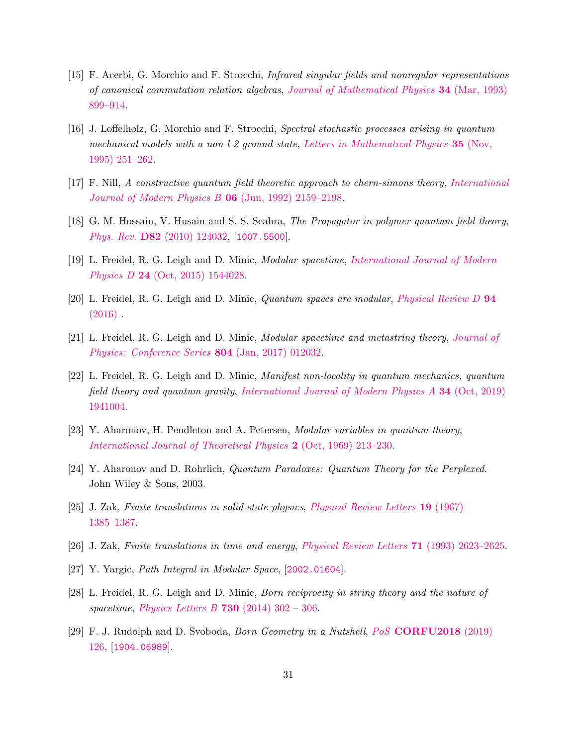- [15] F. Acerbi, G. Morchio and F. Strocchi, Infrared singular fields and nonregular representations of canonical commutation relation algebras, [Journal of Mathematical Physics](http://dx.doi.org/10.1063/1.530200) 34 (Mar, 1993) [899–914.](http://dx.doi.org/10.1063/1.530200)
- [16] J. Loffelholz, G. Morchio and F. Strocchi, Spectral stochastic processes arising in quantum mechanical models with a non-l 2 ground state, [Letters in Mathematical Physics](http://dx.doi.org/10.1007/bf00761297)  $35$  (Nov, [1995\) 251–262.](http://dx.doi.org/10.1007/bf00761297)
- [17] F. Nill, A constructive quantum field theoretic approach to chern-simons theory, [International](http://dx.doi.org/10.1142/s0217979292001080) [Journal of Modern Physics B](http://dx.doi.org/10.1142/s0217979292001080) 06 (Jun, 1992) 2159–2198.
- <span id="page-31-0"></span>[18] G. M. Hossain, V. Husain and S. S. Seahra, *The Propagator in polymer quantum field theory*, Phys. Rev. D82 [\(2010\) 124032,](http://dx.doi.org/10.1103/PhysRevD.82.124032) [[1007.5500](https://arxiv.org/abs/1007.5500)].
- <span id="page-31-1"></span>[19] L. Freidel, R. G. Leigh and D. Minic, Modular spacetime, [International Journal of Modern](http://dx.doi.org/10.1142/s0218271815440289) Physics D 24 [\(Oct, 2015\) 1544028.](http://dx.doi.org/10.1142/s0218271815440289)
- <span id="page-31-7"></span>[20] L. Freidel, R. G. Leigh and D. Minic, Quantum spaces are modular, [Physical Review D](http://dx.doi.org/10.1103/PhysRevD.94.104052) 94  $(2016)$ .
- [21] L. Freidel, R. G. Leigh and D. Minic, Modular spacetime and metastring theory, [Journal of](http://dx.doi.org/10.1088/1742-6596/804/1/012032) [Physics: Conference Series](http://dx.doi.org/10.1088/1742-6596/804/1/012032) 804 (Jan, 2017) 012032.
- <span id="page-31-2"></span>[22] L. Freidel, R. G. Leigh and D. Minic, Manifest non-locality in quantum mechanics, quantum field theory and quantum gravity, [International Journal of Modern Physics A](http://dx.doi.org/10.1142/s0217751x19410045) 34 (Oct, 2019) [1941004.](http://dx.doi.org/10.1142/s0217751x19410045)
- <span id="page-31-3"></span>[23] Y. Aharonov, H. Pendleton and A. Petersen, Modular variables in quantum theory, [International Journal of Theoretical Physics](http://dx.doi.org/10.1007/bf00670008) 2 (Oct, 1969) 213–230.
- <span id="page-31-4"></span>[24] Y. Aharonov and D. Rohrlich, Quantum Paradoxes: Quantum Theory for the Perplexed. John Wiley & Sons, 2003.
- <span id="page-31-5"></span>[25] J. Zak, Finite translations in solid-state physics, [Physical Review Letters](http://dx.doi.org/10.1103/PhysRevLett.19.1385) 19 (1967) [1385–1387.](http://dx.doi.org/10.1103/PhysRevLett.19.1385)
- <span id="page-31-6"></span>[26] J. Zak, Finite translations in time and energy, [Physical Review Letters](http://dx.doi.org/10.1103/PhysRevLett.71.2623) 71 (1993) 2623–2625.
- <span id="page-31-8"></span>[27] Y. Yargic, Path Integral in Modular Space, [[2002.01604](https://arxiv.org/abs/2002.01604)].
- <span id="page-31-9"></span>[28] L. Freidel, R. G. Leigh and D. Minic, Born reciprocity in string theory and the nature of spacetime, [Physics Letters B](http://dx.doi.org/https://doi.org/10.1016/j.physletb.2014.01.067) 730 (2014)  $302 - 306$ .
- <span id="page-31-10"></span>[29] F. J. Rudolph and D. Svoboda, Born Geometry in a Nutshell, PoS [CORFU2018](http://dx.doi.org/10.22323/1.347.0126) (2019) [126,](http://dx.doi.org/10.22323/1.347.0126) [[1904.06989](https://arxiv.org/abs/1904.06989)].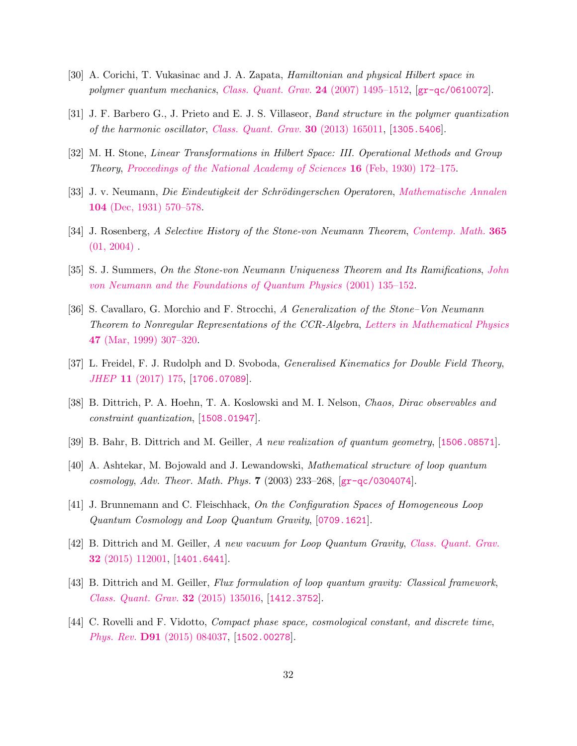- <span id="page-32-0"></span>[30] A. Corichi, T. Vukasinac and J. A. Zapata, Hamiltonian and physical Hilbert space in polymer quantum mechanics, [Class. Quant. Grav.](http://dx.doi.org/10.1088/0264-9381/24/6/008) 24 (2007) 1495–1512, [[gr-qc/0610072](https://arxiv.org/abs/gr-qc/0610072)].
- <span id="page-32-1"></span>[31] J. F. Barbero G., J. Prieto and E. J. S. Villaseor, Band structure in the polymer quantization of the harmonic oscillator, [Class. Quant. Grav.](http://dx.doi.org/10.1088/0264-9381/30/16/165011) 30 (2013) 165011, [[1305.5406](https://arxiv.org/abs/1305.5406)].
- <span id="page-32-2"></span>[32] M. H. Stone, Linear Transformations in Hilbert Space: III. Operational Methods and Group Theory, [Proceedings of the National Academy of Sciences](http://dx.doi.org/10.1073/pnas.16.2.172) 16 (Feb, 1930) 172–175.
- <span id="page-32-3"></span>[33] J. v. Neumann, Die Eindeutigkeit der Schrödingerschen Operatoren, [Mathematische Annalen](http://dx.doi.org/10.1007/bf01457956) 104 [\(Dec, 1931\) 570–578.](http://dx.doi.org/10.1007/bf01457956)
- <span id="page-32-4"></span>[34] J. Rosenberg, A Selective History of the Stone-von Neumann Theorem, [Contemp. Math.](http://dx.doi.org/10.1090/conm/365/06710) 365  $(01, 2004)$ .
- <span id="page-32-5"></span>[35] S. J. Summers, On the Stone-von Neumann Uniqueness Theorem and Its Ramifications, [John](http://dx.doi.org/10.1007/978-94-017-2012-0_9) [von Neumann and the Foundations of Quantum Physics](http://dx.doi.org/10.1007/978-94-017-2012-0_9) (2001) 135–152.
- <span id="page-32-6"></span>[36] S. Cavallaro, G. Morchio and F. Strocchi, A Generalization of the Stone–Von Neumann Theorem to Nonregular Representations of the CCR-Algebra, [Letters in Mathematical Physics](http://dx.doi.org/10.1023/A:1007599222651) 47 [\(Mar, 1999\) 307–320.](http://dx.doi.org/10.1023/A:1007599222651)
- <span id="page-32-7"></span>[37] L. Freidel, F. J. Rudolph and D. Svoboda, *Generalised Kinematics for Double Field Theory*, JHEP 11 [\(2017\) 175,](http://dx.doi.org/10.1007/JHEP11(2017)175) [[1706.07089](https://arxiv.org/abs/1706.07089)].
- <span id="page-32-8"></span>[38] B. Dittrich, P. A. Hoehn, T. A. Koslowski and M. I. Nelson, Chaos, Dirac observables and constraint quantization, [[1508.01947](https://arxiv.org/abs/1508.01947)].
- <span id="page-32-9"></span>[39] B. Bahr, B. Dittrich and M. Geiller, A new realization of quantum geometry, [[1506.08571](https://arxiv.org/abs/1506.08571)].
- <span id="page-32-10"></span>[40] A. Ashtekar, M. Bojowald and J. Lewandowski, Mathematical structure of loop quantum cosmology, Adv. Theor. Math. Phys. 7 (2003) 233–268, [[gr-qc/0304074](https://arxiv.org/abs/gr-qc/0304074)].
- <span id="page-32-11"></span>[41] J. Brunnemann and C. Fleischhack, On the Configuration Spaces of Homogeneous Loop Quantum Cosmology and Loop Quantum Gravity, [[0709.1621](https://arxiv.org/abs/0709.1621)].
- <span id="page-32-12"></span>[42] B. Dittrich and M. Geiller, A new vacuum for Loop Quantum Gravity, [Class. Quant. Grav.](http://dx.doi.org/10.1088/0264-9381/32/11/112001) 32 [\(2015\) 112001,](http://dx.doi.org/10.1088/0264-9381/32/11/112001) [[1401.6441](https://arxiv.org/abs/1401.6441)].
- <span id="page-32-13"></span>[43] B. Dittrich and M. Geiller, Flux formulation of loop quantum gravity: Classical framework, [Class. Quant. Grav.](http://dx.doi.org/10.1088/0264-9381/32/13/135016) 32 (2015) 135016, [[1412.3752](https://arxiv.org/abs/1412.3752)].
- <span id="page-32-14"></span>[44] C. Rovelli and F. Vidotto, Compact phase space, cosmological constant, and discrete time, Phys. Rev. D91 [\(2015\) 084037,](http://dx.doi.org/10.1103/PhysRevD.91.084037) [[1502.00278](https://arxiv.org/abs/1502.00278)].